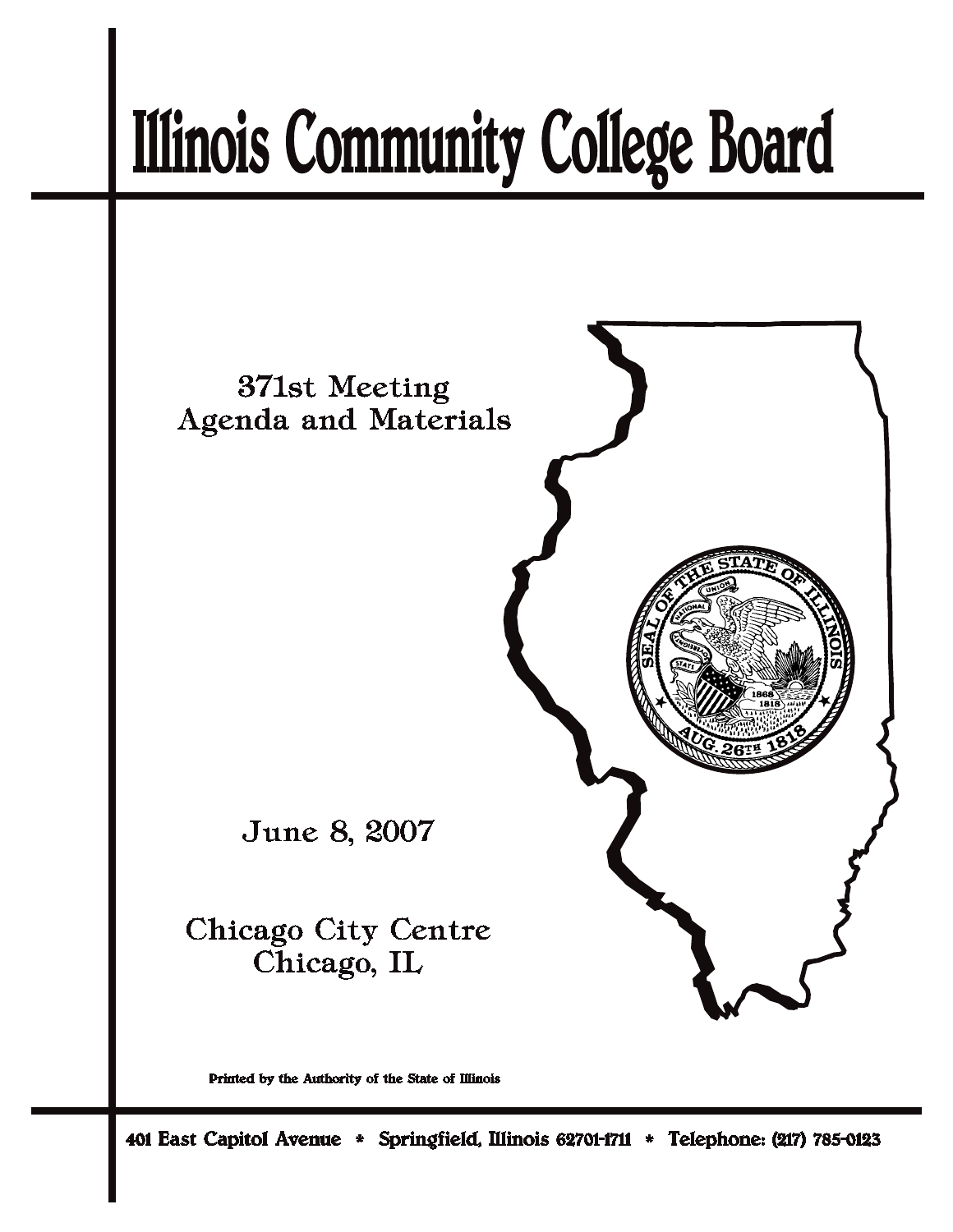# **Illinois Community College Board**



Printed by the Authority of the State of Illinois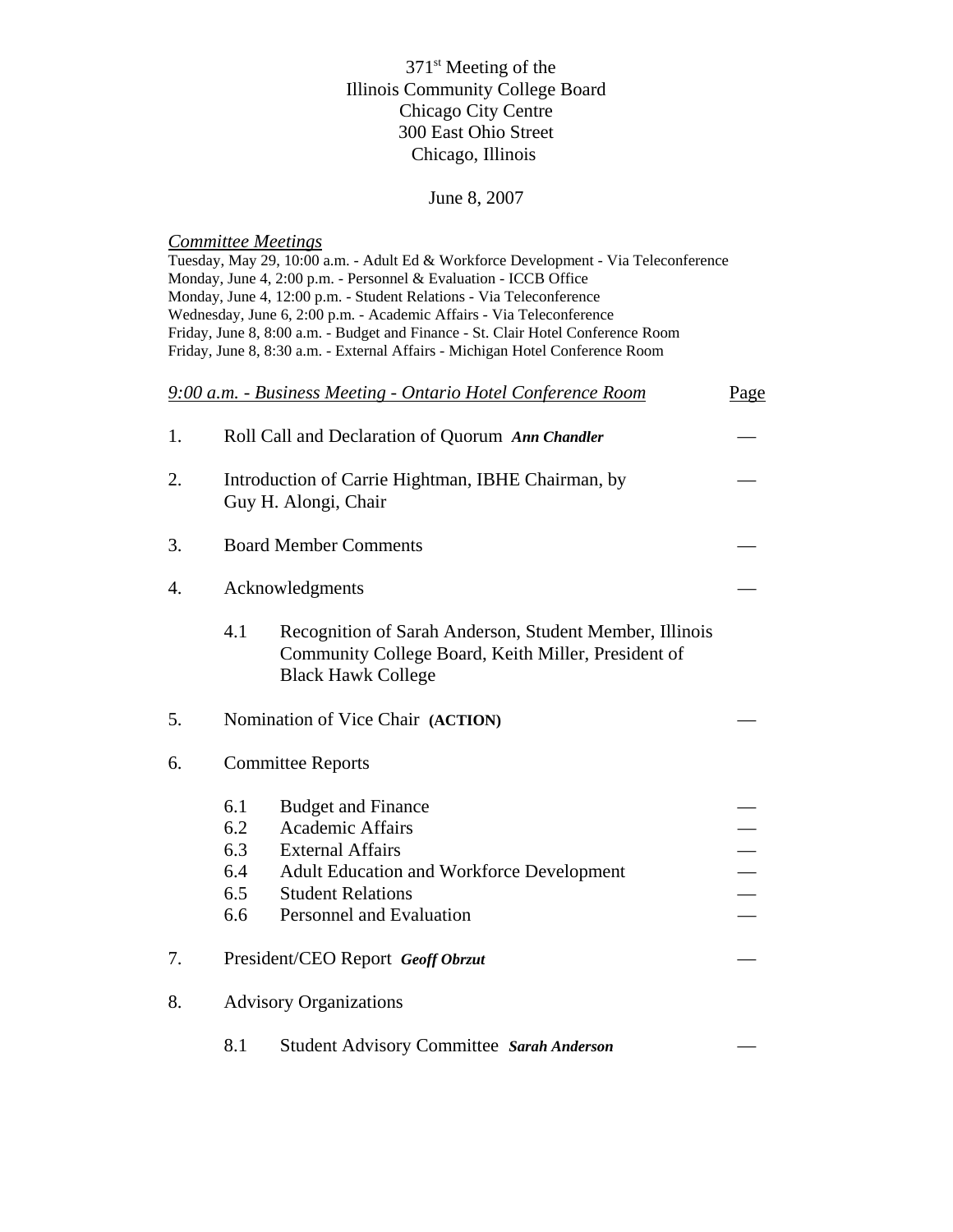# 371<sup>st</sup> Meeting of the Illinois Community College Board Chicago City Centre 300 East Ohio Street Chicago, Illinois

# June 8, 2007

# *Committee Meetings*

|    |                                                                            | Tuesday, May 29, 10:00 a.m. - Adult Ed & Workforce Development - Via Teleconference<br>Monday, June 4, 2:00 p.m. - Personnel & Evaluation - ICCB Office<br>Monday, June 4, 12:00 p.m. - Student Relations - Via Teleconference<br>Wednesday, June 6, 2:00 p.m. - Academic Affairs - Via Teleconference<br>Friday, June 8, 8:00 a.m. - Budget and Finance - St. Clair Hotel Conference Room<br>Friday, June 8, 8:30 a.m. - External Affairs - Michigan Hotel Conference Room |      |  |  |
|----|----------------------------------------------------------------------------|-----------------------------------------------------------------------------------------------------------------------------------------------------------------------------------------------------------------------------------------------------------------------------------------------------------------------------------------------------------------------------------------------------------------------------------------------------------------------------|------|--|--|
|    |                                                                            | 9:00 a.m. - Business Meeting - Ontario Hotel Conference Room                                                                                                                                                                                                                                                                                                                                                                                                                | Page |  |  |
| 1. |                                                                            | Roll Call and Declaration of Quorum Ann Chandler                                                                                                                                                                                                                                                                                                                                                                                                                            |      |  |  |
| 2. | Introduction of Carrie Hightman, IBHE Chairman, by<br>Guy H. Alongi, Chair |                                                                                                                                                                                                                                                                                                                                                                                                                                                                             |      |  |  |
| 3. |                                                                            | <b>Board Member Comments</b>                                                                                                                                                                                                                                                                                                                                                                                                                                                |      |  |  |
| 4. | Acknowledgments                                                            |                                                                                                                                                                                                                                                                                                                                                                                                                                                                             |      |  |  |
|    | 4.1                                                                        | Recognition of Sarah Anderson, Student Member, Illinois<br>Community College Board, Keith Miller, President of<br><b>Black Hawk College</b>                                                                                                                                                                                                                                                                                                                                 |      |  |  |
| 5. |                                                                            | Nomination of Vice Chair (ACTION)                                                                                                                                                                                                                                                                                                                                                                                                                                           |      |  |  |
| 6. | <b>Committee Reports</b>                                                   |                                                                                                                                                                                                                                                                                                                                                                                                                                                                             |      |  |  |
|    | 6.1<br>6.2<br>6.3<br>6.4<br>6.5<br>6.6                                     | <b>Budget and Finance</b><br><b>Academic Affairs</b><br><b>External Affairs</b><br>Adult Education and Workforce Development<br><b>Student Relations</b><br>Personnel and Evaluation                                                                                                                                                                                                                                                                                        |      |  |  |
| 7. |                                                                            | President/CEO Report Geoff Obrzut                                                                                                                                                                                                                                                                                                                                                                                                                                           |      |  |  |
| 8. | <b>Advisory Organizations</b>                                              |                                                                                                                                                                                                                                                                                                                                                                                                                                                                             |      |  |  |
|    | 8.1                                                                        | <b>Student Advisory Committee Sarah Anderson</b>                                                                                                                                                                                                                                                                                                                                                                                                                            |      |  |  |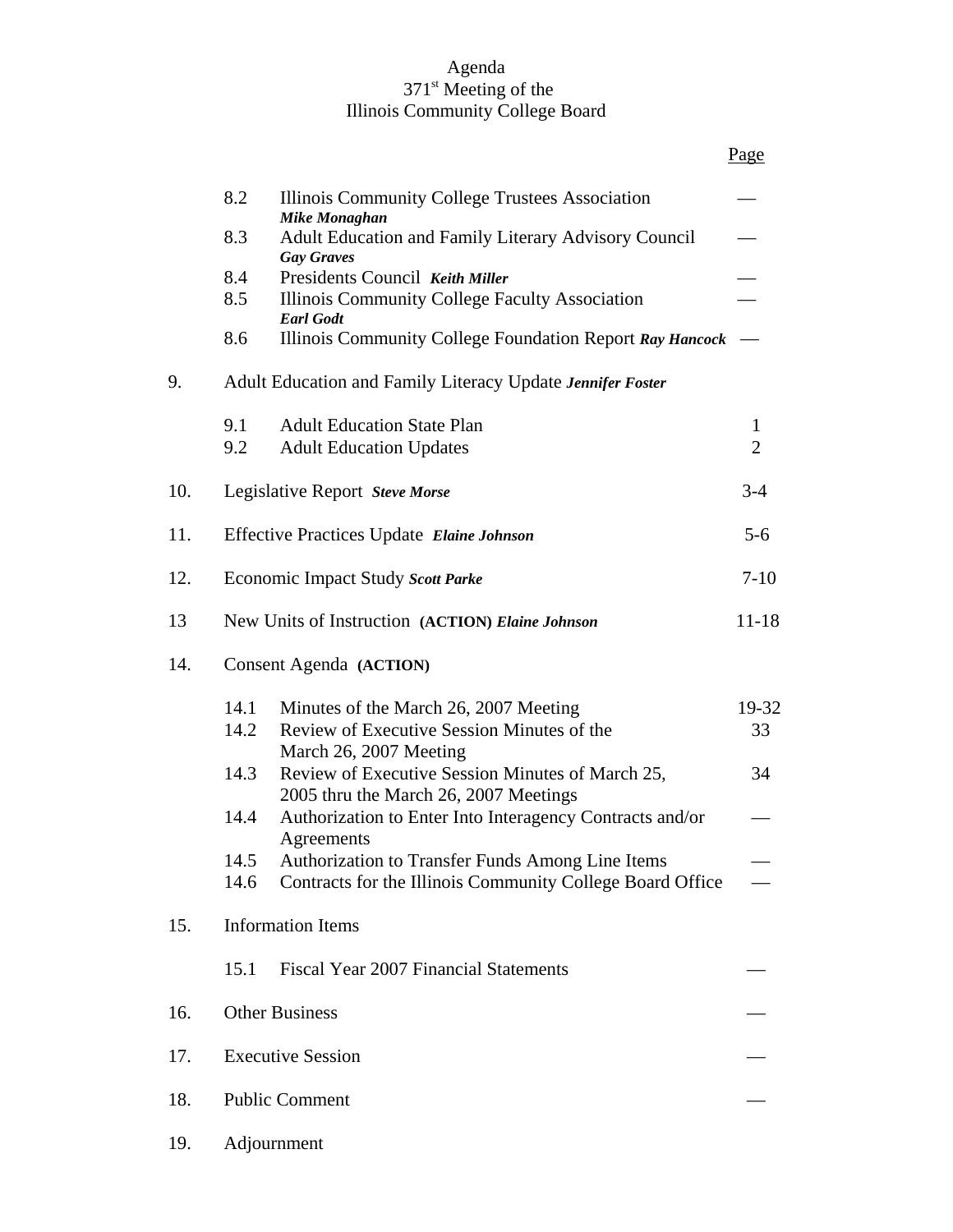### Agenda 371<sup>st</sup> Meeting of the Illinois Community College Board

Page

|     | 8.2                                                           | Illinois Community College Trustees Association<br><b>Mike Monaghan</b>                   |                |  |  |
|-----|---------------------------------------------------------------|-------------------------------------------------------------------------------------------|----------------|--|--|
|     | 8.3                                                           | Adult Education and Family Literary Advisory Council<br><b>Gay Graves</b>                 |                |  |  |
|     | 8.4                                                           | Presidents Council Keith Miller                                                           |                |  |  |
|     | 8.5                                                           | Illinois Community College Faculty Association<br><b>Earl Godt</b>                        |                |  |  |
|     | 8.6                                                           | Illinois Community College Foundation Report Ray Hancock                                  |                |  |  |
| 9.  | Adult Education and Family Literacy Update Jennifer Foster    |                                                                                           |                |  |  |
|     | 9.1                                                           | <b>Adult Education State Plan</b>                                                         | 1              |  |  |
|     | 9.2                                                           | <b>Adult Education Updates</b>                                                            | $\overline{2}$ |  |  |
| 10. |                                                               | Legislative Report Steve Morse                                                            | $3 - 4$        |  |  |
| 11. | <b>Effective Practices Update Elaine Johnson</b>              |                                                                                           | $5 - 6$        |  |  |
| 12. |                                                               | Economic Impact Study Scott Parke                                                         | $7-10$         |  |  |
| 13  | $11 - 18$<br>New Units of Instruction (ACTION) Elaine Johnson |                                                                                           |                |  |  |
| 14. | Consent Agenda (ACTION)                                       |                                                                                           |                |  |  |
|     | 14.1                                                          | Minutes of the March 26, 2007 Meeting                                                     | 19-32          |  |  |
|     | 14.2                                                          | Review of Executive Session Minutes of the<br>March 26, 2007 Meeting                      | 33             |  |  |
|     | 14.3                                                          | Review of Executive Session Minutes of March 25,<br>2005 thru the March 26, 2007 Meetings | 34             |  |  |
|     | 14.4                                                          | Authorization to Enter Into Interagency Contracts and/or<br>Agreements                    |                |  |  |
|     | 14.5                                                          | <b>Authorization to Transfer Funds Among Line Items</b>                                   |                |  |  |
|     | 14.6                                                          | Contracts for the Illinois Community College Board Office                                 |                |  |  |
| 15. | <b>Information Items</b>                                      |                                                                                           |                |  |  |
|     | 15.1                                                          | <b>Fiscal Year 2007 Financial Statements</b>                                              |                |  |  |
| 16. | <b>Other Business</b>                                         |                                                                                           |                |  |  |
| 17. | <b>Executive Session</b>                                      |                                                                                           |                |  |  |
| 18. | <b>Public Comment</b>                                         |                                                                                           |                |  |  |
| 19. | Adjournment                                                   |                                                                                           |                |  |  |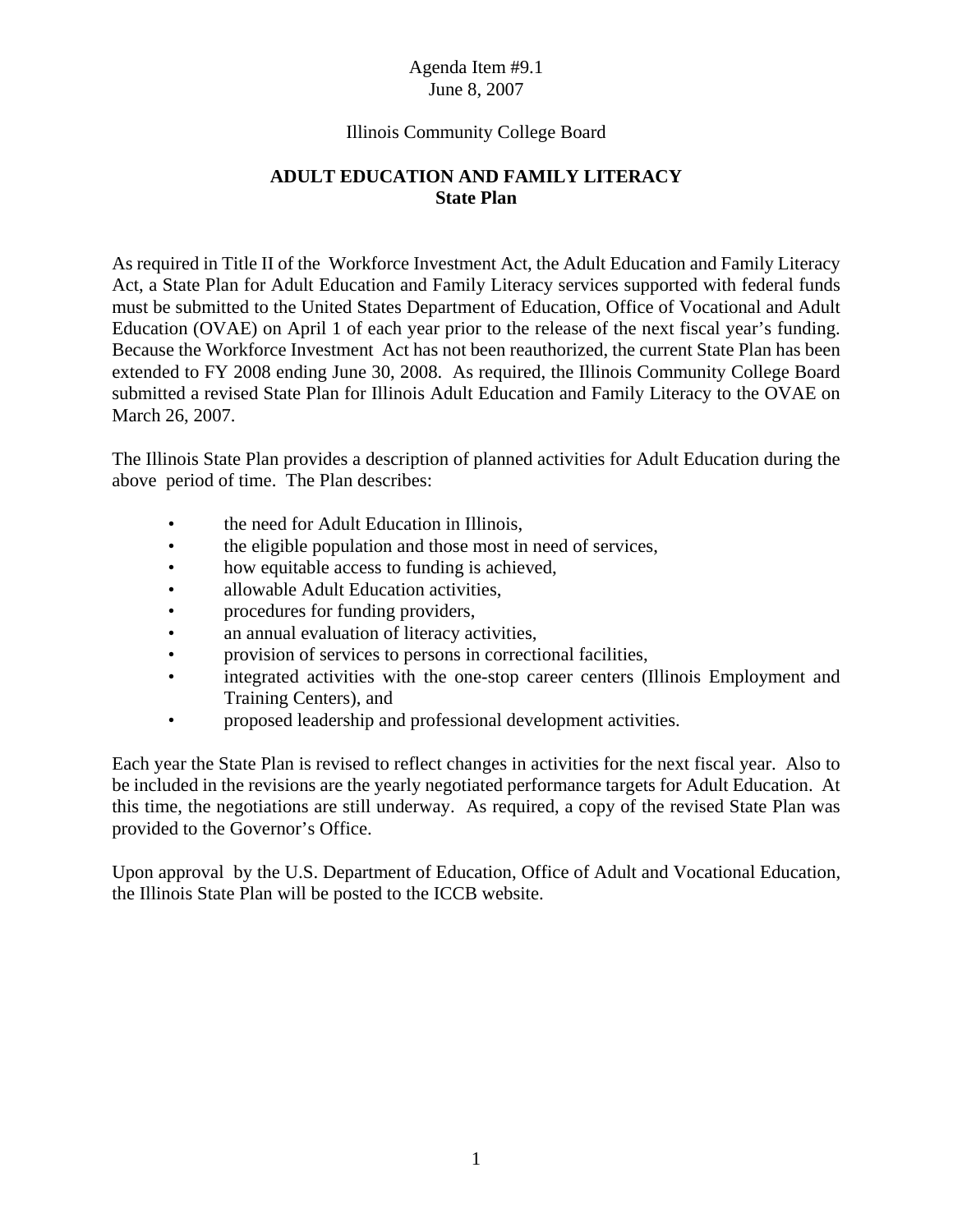# Illinois Community College Board

# **ADULT EDUCATION AND FAMILY LITERACY State Plan**

As required in Title II of the Workforce Investment Act, the Adult Education and Family Literacy Act, a State Plan for Adult Education and Family Literacy services supported with federal funds must be submitted to the United States Department of Education, Office of Vocational and Adult Education (OVAE) on April 1 of each year prior to the release of the next fiscal year's funding. Because the Workforce Investment Act has not been reauthorized, the current State Plan has been extended to FY 2008 ending June 30, 2008. As required, the Illinois Community College Board submitted a revised State Plan for Illinois Adult Education and Family Literacy to the OVAE on March 26, 2007.

The Illinois State Plan provides a description of planned activities for Adult Education during the above period of time. The Plan describes:

- the need for Adult Education in Illinois,
- the eligible population and those most in need of services,
- how equitable access to funding is achieved,
- allowable Adult Education activities,
- procedures for funding providers,
- an annual evaluation of literacy activities,
- provision of services to persons in correctional facilities,
- integrated activities with the one-stop career centers (Illinois Employment and Training Centers), and
- proposed leadership and professional development activities.

Each year the State Plan is revised to reflect changes in activities for the next fiscal year. Also to be included in the revisions are the yearly negotiated performance targets for Adult Education. At this time, the negotiations are still underway. As required, a copy of the revised State Plan was provided to the Governor's Office.

Upon approval by the U.S. Department of Education, Office of Adult and Vocational Education, the Illinois State Plan will be posted to the ICCB website.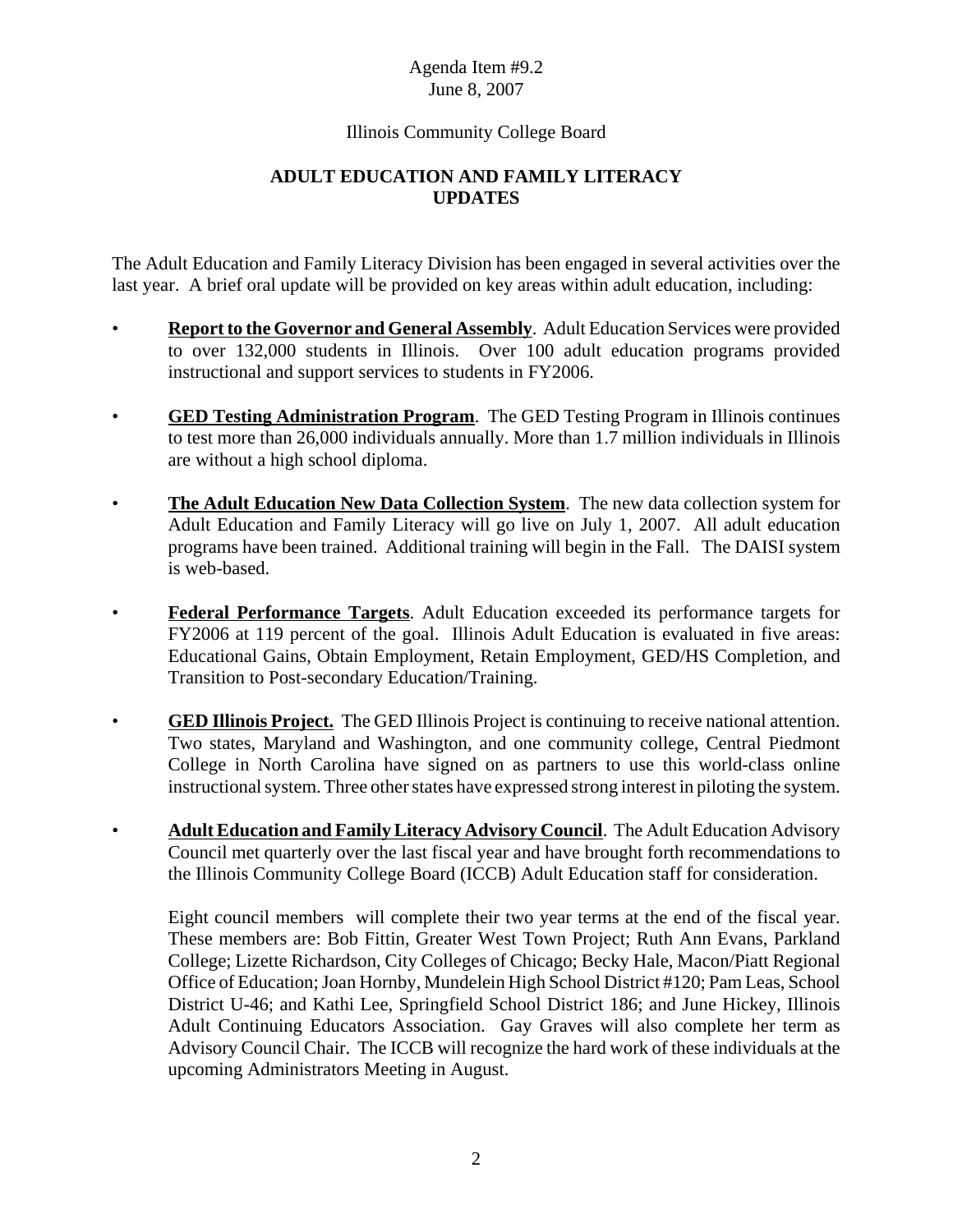# Illinois Community College Board

# **ADULT EDUCATION AND FAMILY LITERACY UPDATES**

The Adult Education and Family Literacy Division has been engaged in several activities over the last year. A brief oral update will be provided on key areas within adult education, including:

- **Report to the Governor and General Assembly**. Adult Education Services were provided to over 132,000 students in Illinois. Over 100 adult education programs provided instructional and support services to students in FY2006.
- **GED Testing Administration Program**. The GED Testing Program in Illinois continues to test more than 26,000 individuals annually. More than 1.7 million individuals in Illinois are without a high school diploma.
- **The Adult Education New Data Collection System**. The new data collection system for Adult Education and Family Literacy will go live on July 1, 2007. All adult education programs have been trained. Additional training will begin in the Fall. The DAISI system is web-based.
- **Federal Performance Targets**. Adult Education exceeded its performance targets for FY2006 at 119 percent of the goal. Illinois Adult Education is evaluated in five areas: Educational Gains, Obtain Employment, Retain Employment, GED/HS Completion, and Transition to Post-secondary Education/Training.
- **GED Illinois Project.** The GED Illinois Project is continuing to receive national attention. Two states, Maryland and Washington, and one community college, Central Piedmont College in North Carolina have signed on as partners to use this world-class online instructional system. Three other states have expressed strong interest in piloting the system.
- **Adult Education and Family Literacy Advisory Council**. The Adult Education Advisory Council met quarterly over the last fiscal year and have brought forth recommendations to the Illinois Community College Board (ICCB) Adult Education staff for consideration.

Eight council members will complete their two year terms at the end of the fiscal year. These members are: Bob Fittin, Greater West Town Project; Ruth Ann Evans, Parkland College; Lizette Richardson, City Colleges of Chicago; Becky Hale, Macon/Piatt Regional Office of Education; Joan Hornby, Mundelein High School District #120; Pam Leas, School District U-46; and Kathi Lee, Springfield School District 186; and June Hickey, Illinois Adult Continuing Educators Association. Gay Graves will also complete her term as Advisory Council Chair. The ICCB will recognize the hard work of these individuals at the upcoming Administrators Meeting in August.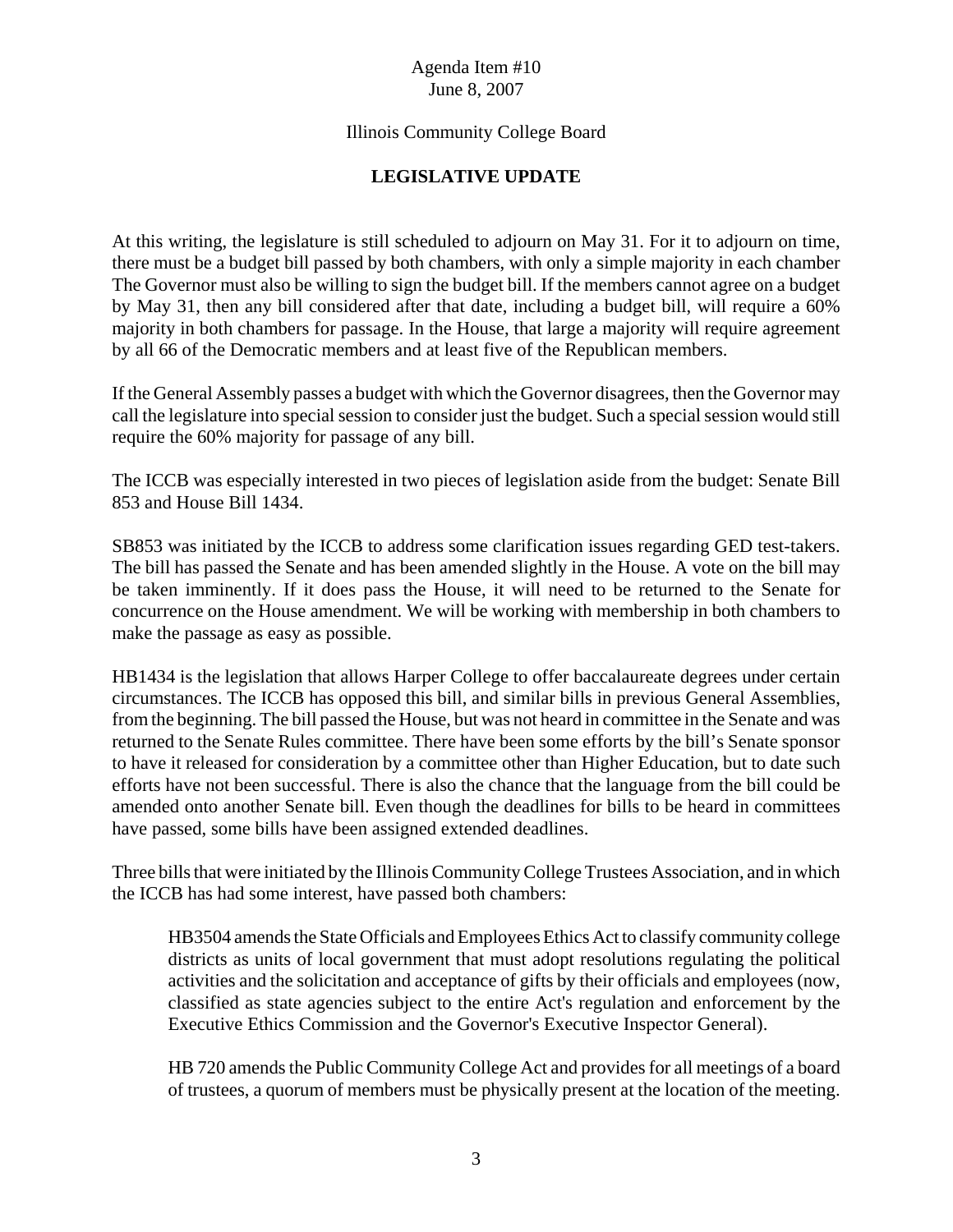# Illinois Community College Board

# **LEGISLATIVE UPDATE**

At this writing, the legislature is still scheduled to adjourn on May 31. For it to adjourn on time, there must be a budget bill passed by both chambers, with only a simple majority in each chamber The Governor must also be willing to sign the budget bill. If the members cannot agree on a budget by May 31, then any bill considered after that date, including a budget bill, will require a 60% majority in both chambers for passage. In the House, that large a majority will require agreement by all 66 of the Democratic members and at least five of the Republican members.

If the General Assembly passes a budget with which the Governor disagrees, then the Governor may call the legislature into special session to consider just the budget. Such a special session would still require the 60% majority for passage of any bill.

The ICCB was especially interested in two pieces of legislation aside from the budget: Senate Bill 853 and House Bill 1434.

SB853 was initiated by the ICCB to address some clarification issues regarding GED test-takers. The bill has passed the Senate and has been amended slightly in the House. A vote on the bill may be taken imminently. If it does pass the House, it will need to be returned to the Senate for concurrence on the House amendment. We will be working with membership in both chambers to make the passage as easy as possible.

HB1434 is the legislation that allows Harper College to offer baccalaureate degrees under certain circumstances. The ICCB has opposed this bill, and similar bills in previous General Assemblies, from the beginning. The bill passed the House, but was not heard in committee in the Senate and was returned to the Senate Rules committee. There have been some efforts by the bill's Senate sponsor to have it released for consideration by a committee other than Higher Education, but to date such efforts have not been successful. There is also the chance that the language from the bill could be amended onto another Senate bill. Even though the deadlines for bills to be heard in committees have passed, some bills have been assigned extended deadlines.

Three bills that were initiated by the Illinois Community College Trustees Association, and in which the ICCB has had some interest, have passed both chambers:

HB3504 amends the State Officials and Employees Ethics Act to classify community college districts as units of local government that must adopt resolutions regulating the political activities and the solicitation and acceptance of gifts by their officials and employees (now, classified as state agencies subject to the entire Act's regulation and enforcement by the Executive Ethics Commission and the Governor's Executive Inspector General).

HB 720 amends the Public Community College Act and provides for all meetings of a board of trustees, a quorum of members must be physically present at the location of the meeting.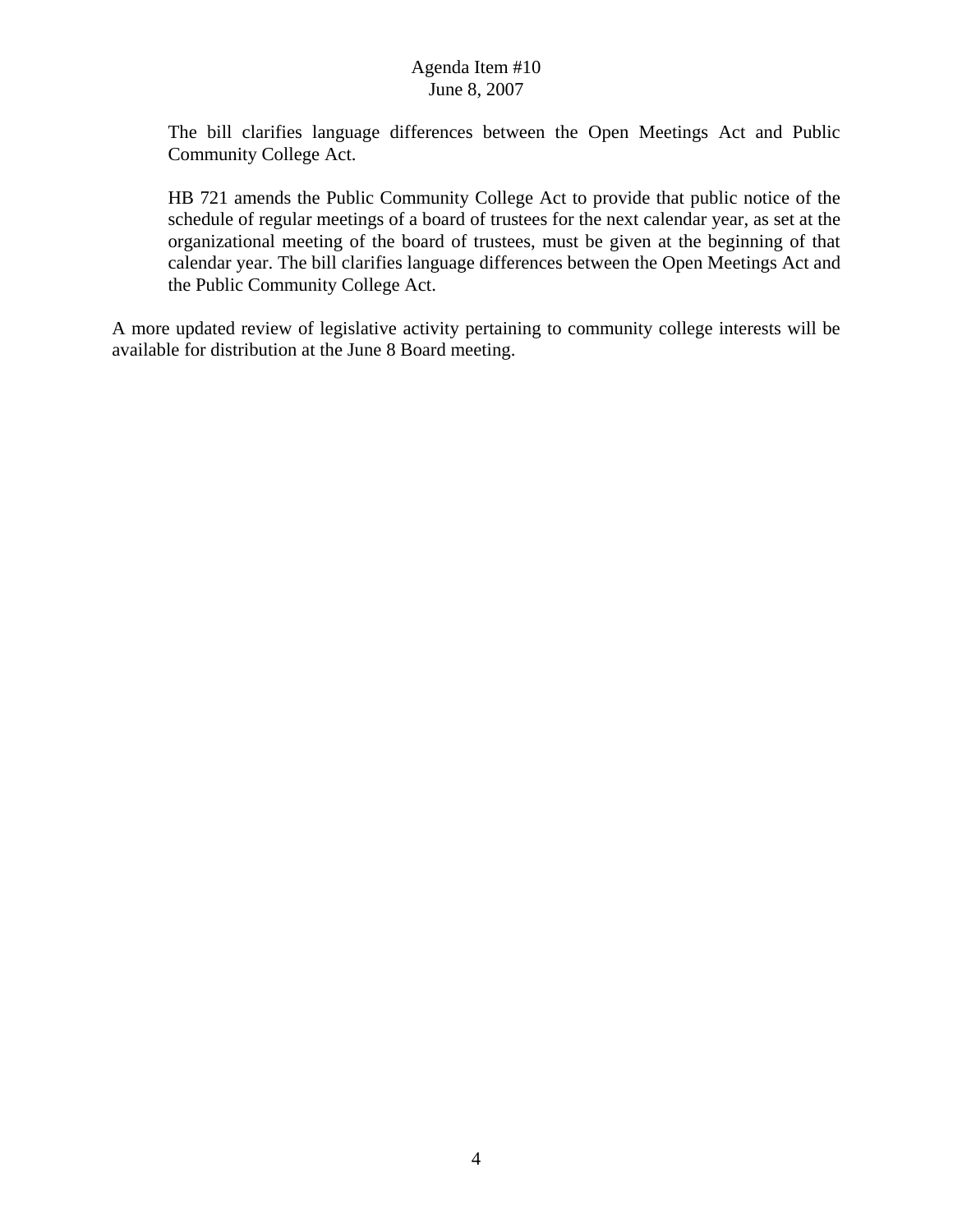The bill clarifies language differences between the Open Meetings Act and Public Community College Act.

HB 721 amends the Public Community College Act to provide that public notice of the schedule of regular meetings of a board of trustees for the next calendar year, as set at the organizational meeting of the board of trustees, must be given at the beginning of that calendar year. The bill clarifies language differences between the Open Meetings Act and the Public Community College Act.

A more updated review of legislative activity pertaining to community college interests will be available for distribution at the June 8 Board meeting.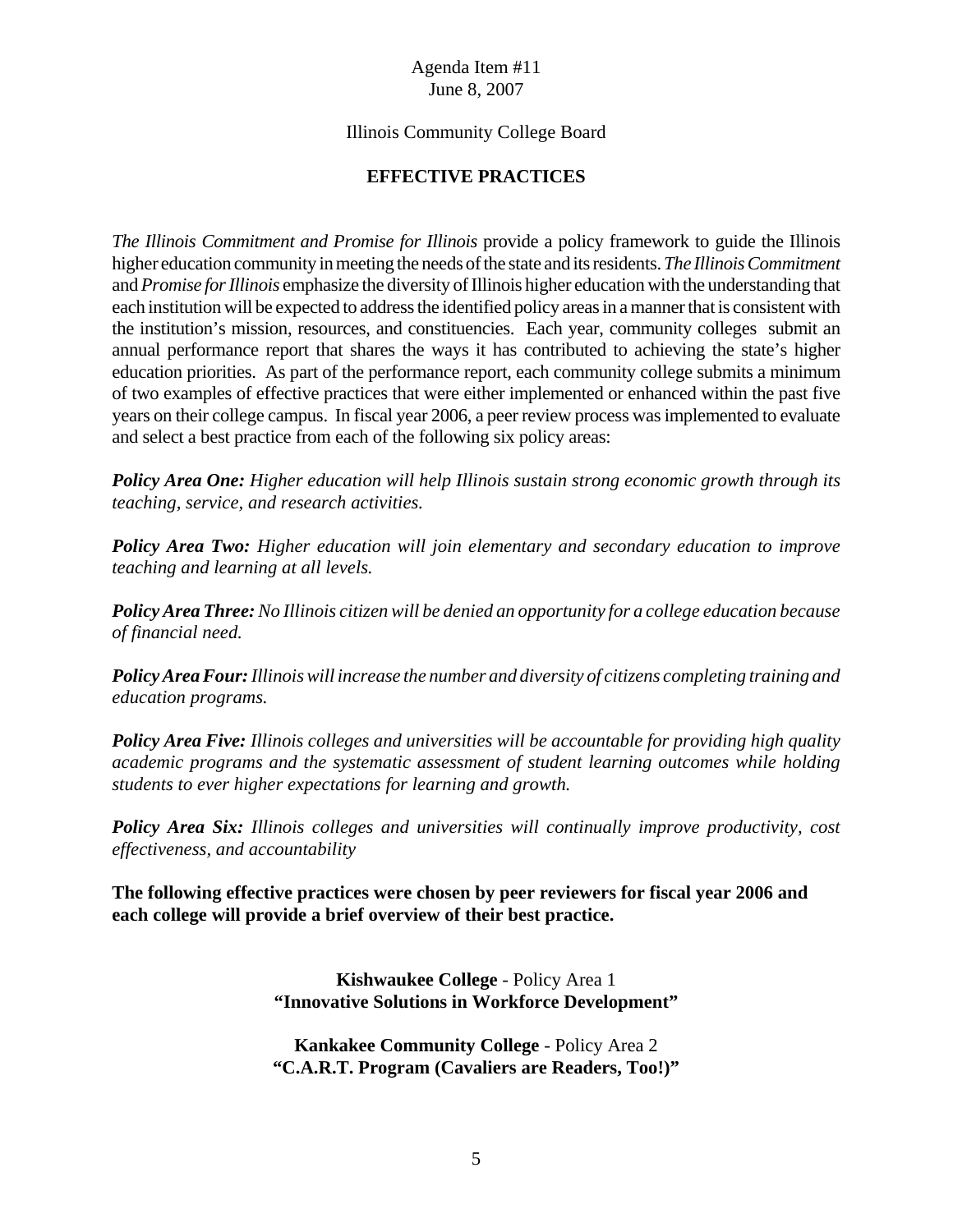# Illinois Community College Board

# **EFFECTIVE PRACTICES**

*The Illinois Commitment and Promise for Illinois* provide a policy framework to guide the Illinois higher education community in meeting the needs of the state and its residents. *The Illinois Commitment* and *Promise for Illinois* emphasize the diversity of Illinois higher education with the understanding that each institution will be expected to address the identified policy areas in a manner that is consistent with the institution's mission, resources, and constituencies. Each year, community colleges submit an annual performance report that shares the ways it has contributed to achieving the state's higher education priorities. As part of the performance report, each community college submits a minimum of two examples of effective practices that were either implemented or enhanced within the past five years on their college campus. In fiscal year 2006, a peer review process was implemented to evaluate and select a best practice from each of the following six policy areas:

*Policy Area One: Higher education will help Illinois sustain strong economic growth through its teaching, service, and research activities.*

*Policy Area Two: Higher education will join elementary and secondary education to improve teaching and learning at all levels.*

*Policy Area Three: No Illinois citizen will be denied an opportunity for a college education because of financial need.*

*Policy Area Four: Illinois will increase the number and diversity of citizens completing training and education programs.*

*Policy Area Five: Illinois colleges and universities will be accountable for providing high quality academic programs and the systematic assessment of student learning outcomes while holding students to ever higher expectations for learning and growth.*

*Policy Area Six: Illinois colleges and universities will continually improve productivity, cost effectiveness, and accountability*

**The following effective practices were chosen by peer reviewers for fiscal year 2006 and each college will provide a brief overview of their best practice.**

> **Kishwaukee College** - Policy Area 1 **"Innovative Solutions in Workforce Development"**

> **Kankakee Community College** - Policy Area 2 **"C.A.R.T. Program (Cavaliers are Readers, Too!)"**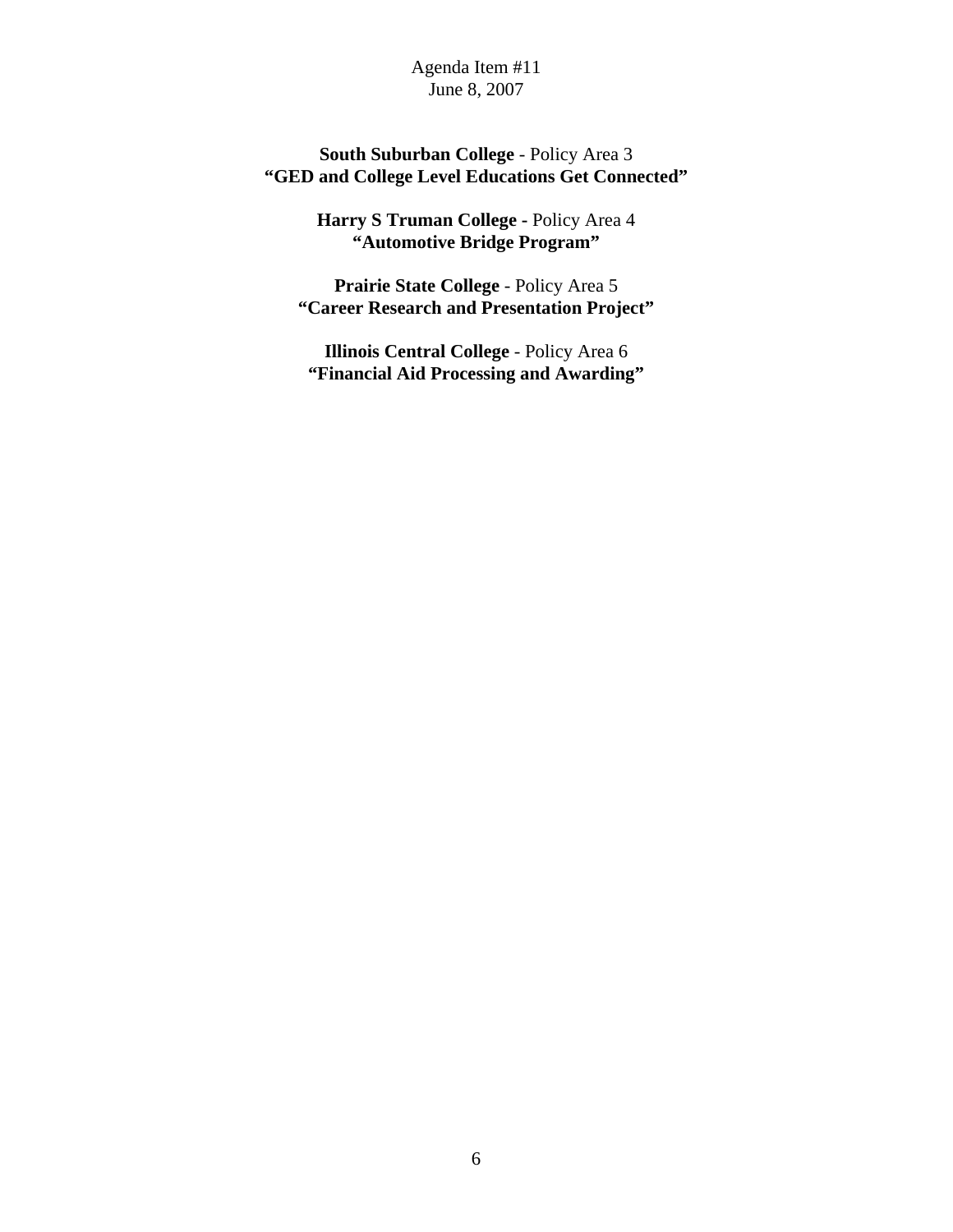# **South Suburban College** - Policy Area 3 **"GED and College Level Educations Get Connected"**

**Harry S Truman College -** Policy Area 4 **"Automotive Bridge Program"**

**Prairie State College** - Policy Area 5 **"Career Research and Presentation Project"**

**Illinois Central College** - Policy Area 6 **"Financial Aid Processing and Awarding"**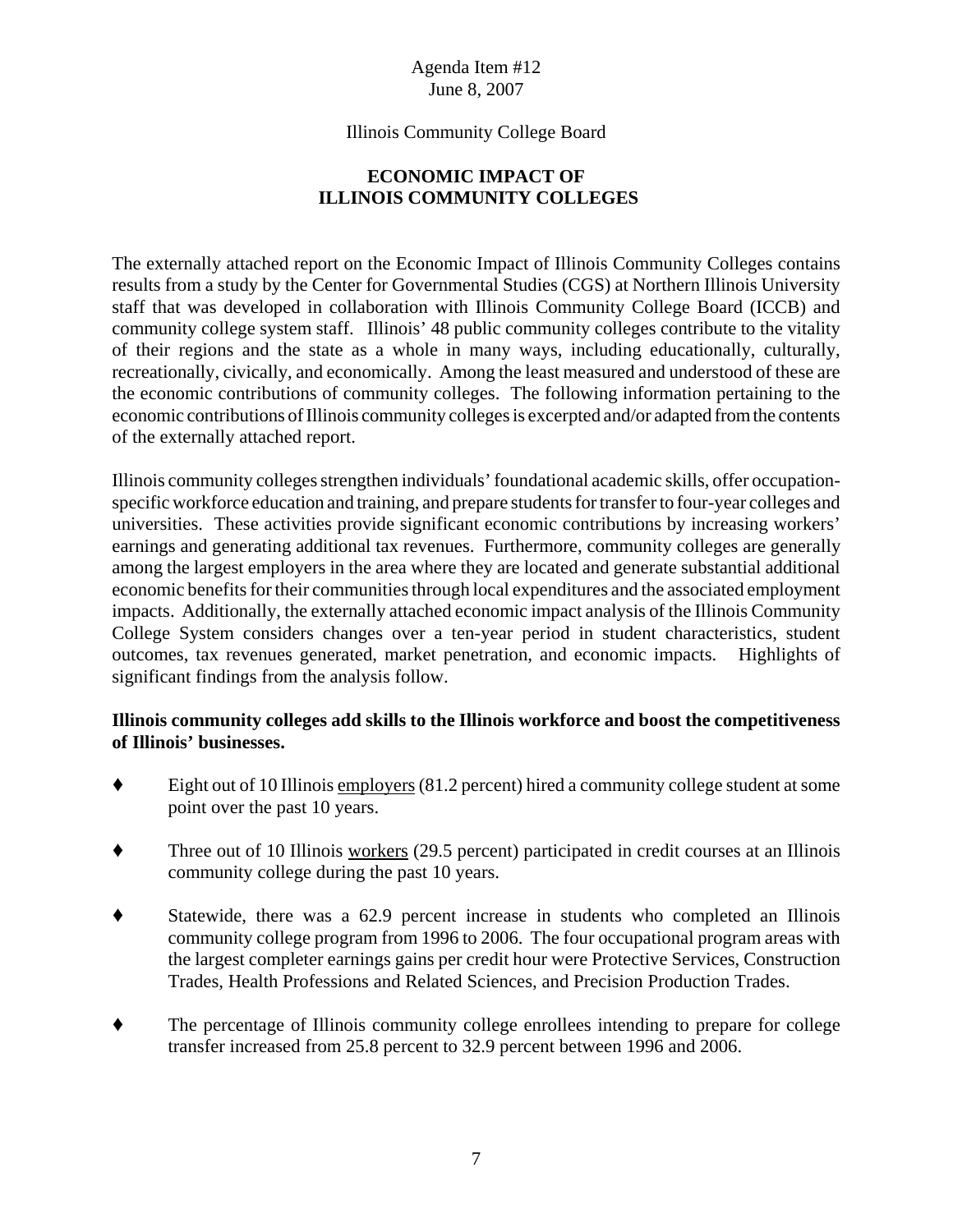# Illinois Community College Board

# **ECONOMIC IMPACT OF ILLINOIS COMMUNITY COLLEGES**

The externally attached report on the Economic Impact of Illinois Community Colleges contains results from a study by the Center for Governmental Studies (CGS) at Northern Illinois University staff that was developed in collaboration with Illinois Community College Board (ICCB) and community college system staff. Illinois' 48 public community colleges contribute to the vitality of their regions and the state as a whole in many ways, including educationally, culturally, recreationally, civically, and economically. Among the least measured and understood of these are the economic contributions of community colleges. The following information pertaining to the economic contributions of Illinois community colleges is excerpted and/or adapted from the contents of the externally attached report.

Illinois community colleges strengthen individuals' foundational academic skills, offer occupationspecific workforce education and training, and prepare students for transfer to four-year colleges and universities. These activities provide significant economic contributions by increasing workers' earnings and generating additional tax revenues. Furthermore, community colleges are generally among the largest employers in the area where they are located and generate substantial additional economic benefits for their communities through local expenditures and the associated employment impacts. Additionally, the externally attached economic impact analysis of the Illinois Community College System considers changes over a ten-year period in student characteristics, student outcomes, tax revenues generated, market penetration, and economic impacts. Highlights of significant findings from the analysis follow.

# **Illinois community colleges add skills to the Illinois workforce and boost the competitiveness of Illinois' businesses.**

- $\bullet$  Eight out of 10 Illinois employers (81.2 percent) hired a community college student at some point over the past 10 years.
- $\blacklozenge$  Three out of 10 Illinois workers (29.5 percent) participated in credit courses at an Illinois community college during the past 10 years.
- ' Statewide, there was a 62.9 percent increase in students who completed an Illinois community college program from 1996 to 2006. The four occupational program areas with the largest completer earnings gains per credit hour were Protective Services, Construction Trades, Health Professions and Related Sciences, and Precision Production Trades.
- The percentage of Illinois community college enrollees intending to prepare for college transfer increased from 25.8 percent to 32.9 percent between 1996 and 2006.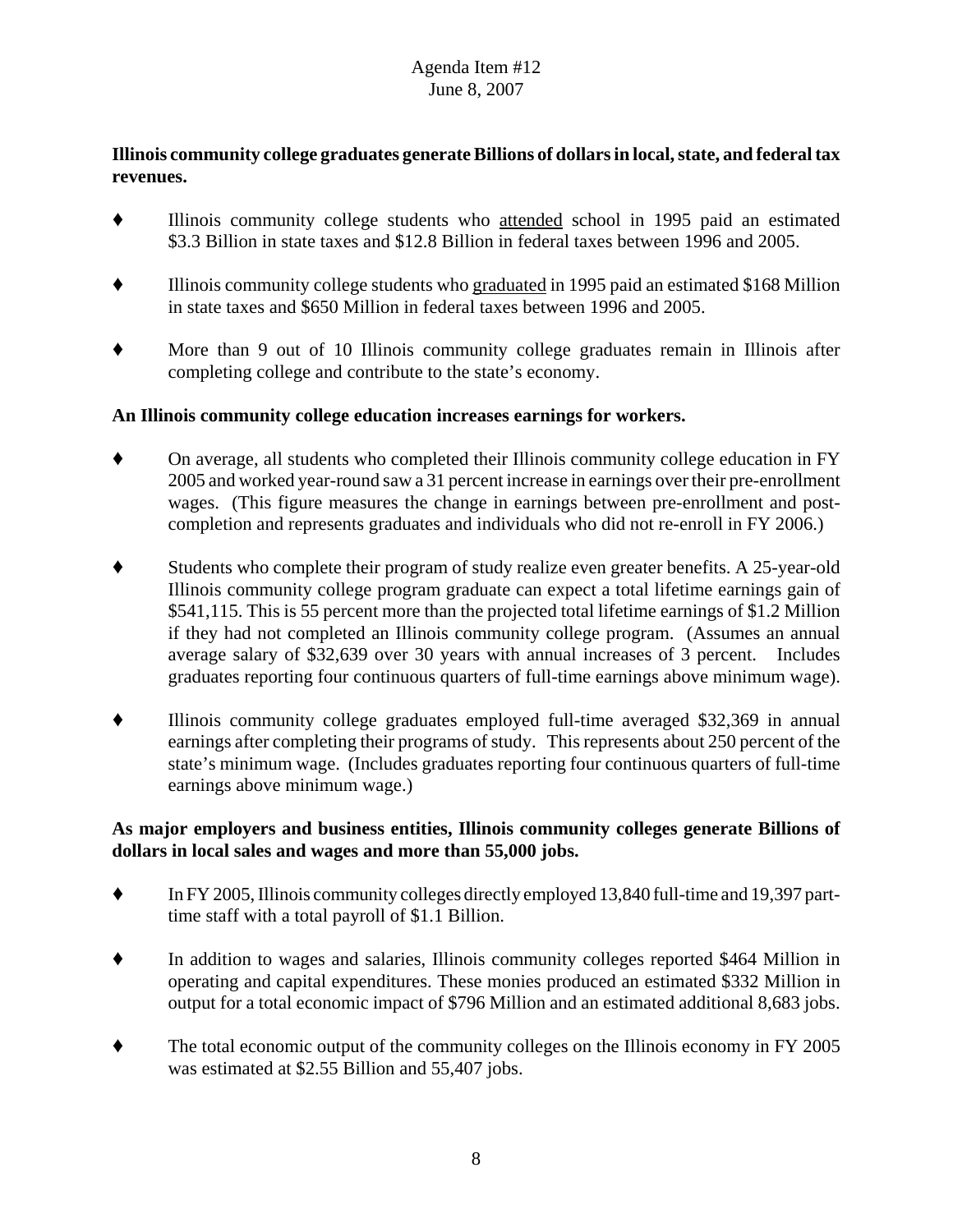# **Illinois community college graduates generate Billions of dollars in local, state, and federal tax revenues.**

- ' Illinois community college students who attended school in 1995 paid an estimated \$3.3 Billion in state taxes and \$12.8 Billion in federal taxes between 1996 and 2005.
- ' Illinois community college students who graduated in 1995 paid an estimated \$168 Million in state taxes and \$650 Million in federal taxes between 1996 and 2005.
- ' More than 9 out of 10 Illinois community college graduates remain in Illinois after completing college and contribute to the state's economy.

# **An Illinois community college education increases earnings for workers.**

- ' On average, all students who completed their Illinois community college education in FY 2005 and worked year-round saw a 31 percent increase in earnings over their pre-enrollment wages. (This figure measures the change in earnings between pre-enrollment and postcompletion and represents graduates and individuals who did not re-enroll in FY 2006.)
- ' Students who complete their program of study realize even greater benefits. A 25-year-old Illinois community college program graduate can expect a total lifetime earnings gain of \$541,115. This is 55 percent more than the projected total lifetime earnings of \$1.2 Million if they had not completed an Illinois community college program. (Assumes an annual average salary of \$32,639 over 30 years with annual increases of 3 percent. Includes graduates reporting four continuous quarters of full-time earnings above minimum wage).
- $\bullet$  Illinois community college graduates employed full-time averaged \$32,369 in annual earnings after completing their programs of study. This represents about 250 percent of the state's minimum wage. (Includes graduates reporting four continuous quarters of full-time earnings above minimum wage.)

# **As major employers and business entities, Illinois community colleges generate Billions of dollars in local sales and wages and more than 55,000 jobs.**

- $\blacklozenge$  In FY 2005, Illinois community colleges directly employed 13,840 full-time and 19,397 parttime staff with a total payroll of \$1.1 Billion.
- In addition to wages and salaries, Illinois community colleges reported \$464 Million in operating and capital expenditures. These monies produced an estimated \$332 Million in output for a total economic impact of \$796 Million and an estimated additional 8,683 jobs.
- The total economic output of the community colleges on the Illinois economy in FY 2005 was estimated at \$2.55 Billion and 55,407 jobs.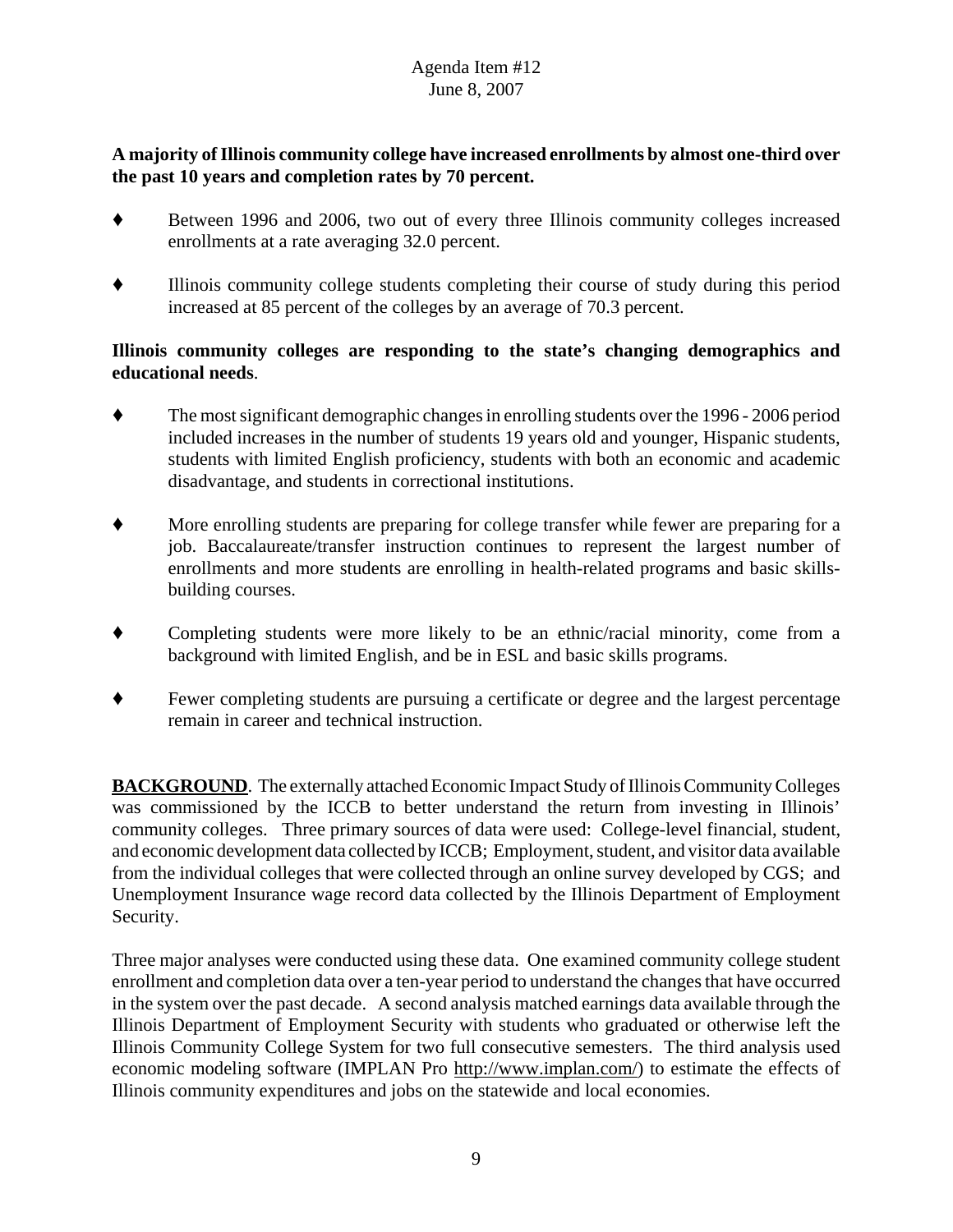# **A majority of Illinois community college have increased enrollments by almost one-third over the past 10 years and completion rates by 70 percent.**

- Between 1996 and 2006, two out of every three Illinois community colleges increased enrollments at a rate averaging 32.0 percent.
- ' Illinois community college students completing their course of study during this period increased at 85 percent of the colleges by an average of 70.3 percent.

# **Illinois community colleges are responding to the state's changing demographics and educational needs**.

- ' The most significant demographic changes in enrolling students over the 1996 2006 period included increases in the number of students 19 years old and younger, Hispanic students, students with limited English proficiency, students with both an economic and academic disadvantage, and students in correctional institutions.
- ' More enrolling students are preparing for college transfer while fewer are preparing for a job. Baccalaureate/transfer instruction continues to represent the largest number of enrollments and more students are enrolling in health-related programs and basic skillsbuilding courses.
- ' Completing students were more likely to be an ethnic/racial minority, come from a background with limited English, and be in ESL and basic skills programs.
- ' Fewer completing students are pursuing a certificate or degree and the largest percentage remain in career and technical instruction.

**BACKGROUND**. The externally attached Economic Impact Study of Illinois Community Colleges was commissioned by the ICCB to better understand the return from investing in Illinois' community colleges. Three primary sources of data were used: College-level financial, student, and economic development data collected by ICCB; Employment, student, and visitor data available from the individual colleges that were collected through an online survey developed by CGS; and Unemployment Insurance wage record data collected by the Illinois Department of Employment Security.

Three major analyses were conducted using these data. One examined community college student enrollment and completion data over a ten-year period to understand the changes that have occurred in the system over the past decade. A second analysis matched earnings data available through the Illinois Department of Employment Security with students who graduated or otherwise left the Illinois Community College System for two full consecutive semesters. The third analysis used economic modeling software (IMPLAN Pro http://www.implan.com/) to estimate the effects of Illinois community expenditures and jobs on the statewide and local economies.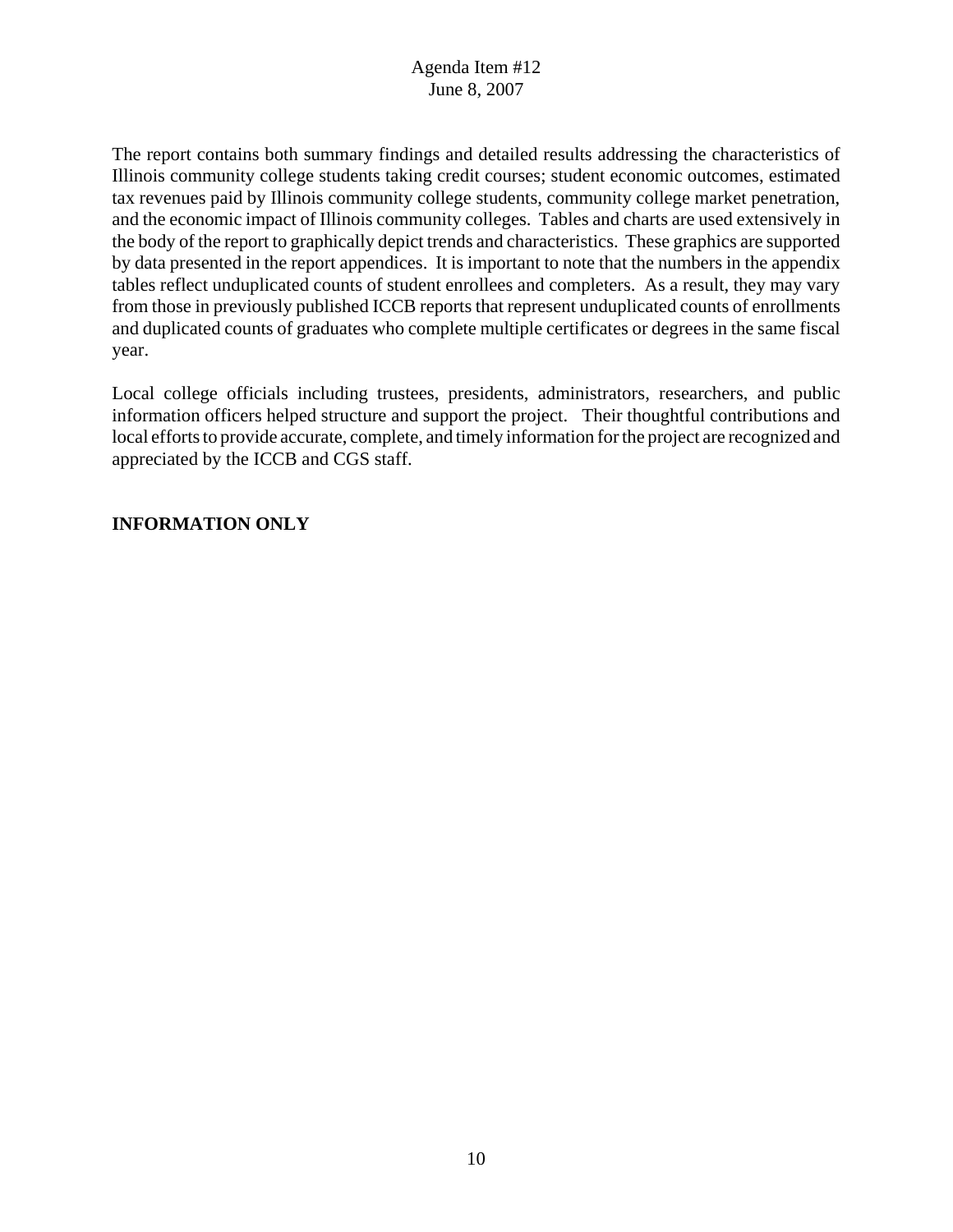The report contains both summary findings and detailed results addressing the characteristics of Illinois community college students taking credit courses; student economic outcomes, estimated tax revenues paid by Illinois community college students, community college market penetration, and the economic impact of Illinois community colleges. Tables and charts are used extensively in the body of the report to graphically depict trends and characteristics. These graphics are supported by data presented in the report appendices. It is important to note that the numbers in the appendix tables reflect unduplicated counts of student enrollees and completers. As a result, they may vary from those in previously published ICCB reports that represent unduplicated counts of enrollments and duplicated counts of graduates who complete multiple certificates or degrees in the same fiscal year.

Local college officials including trustees, presidents, administrators, researchers, and public information officers helped structure and support the project. Their thoughtful contributions and local efforts to provide accurate, complete, and timely information for the project are recognized and appreciated by the ICCB and CGS staff.

# **INFORMATION ONLY**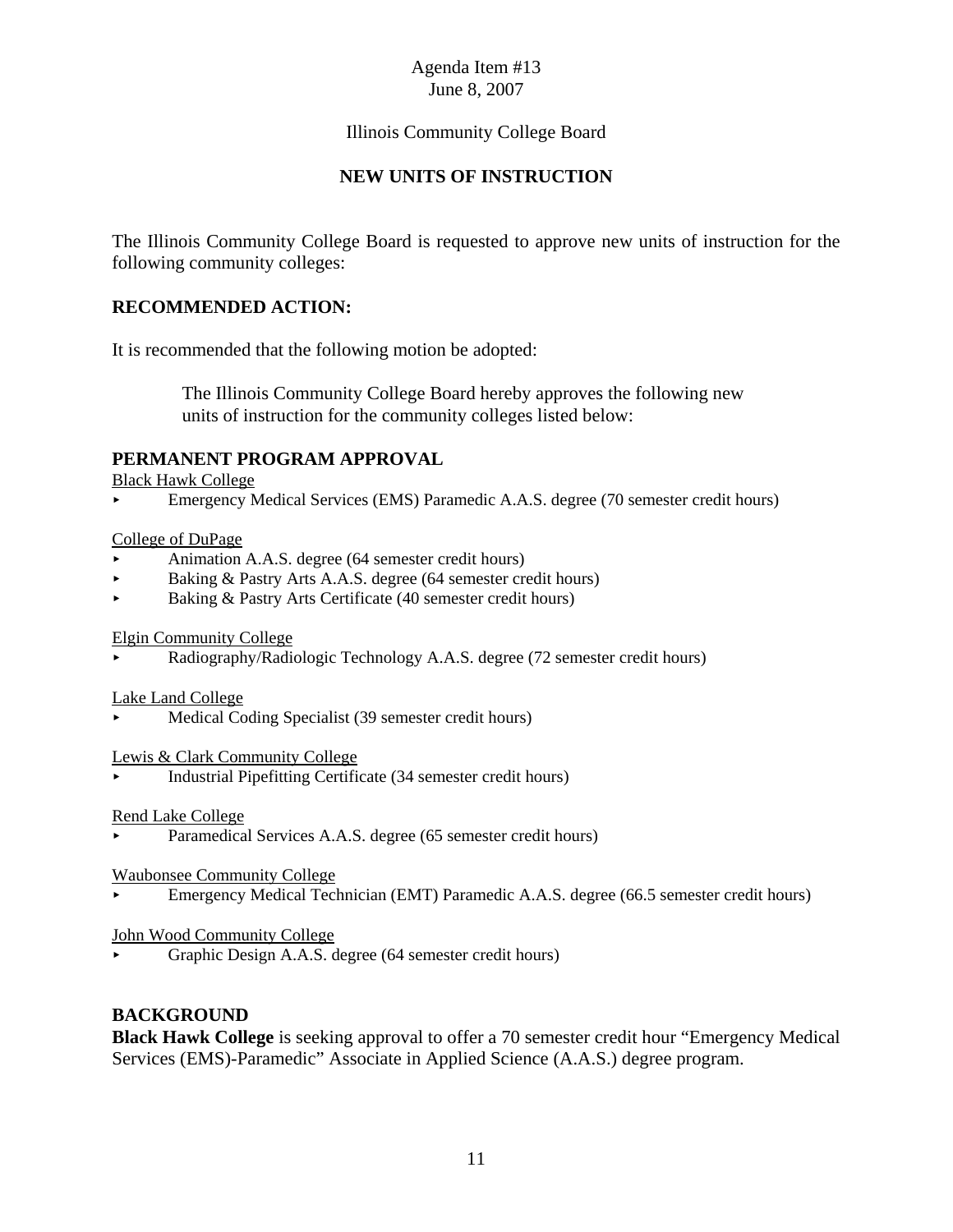# Illinois Community College Board

# **NEW UNITS OF INSTRUCTION**

The Illinois Community College Board is requested to approve new units of instruction for the following community colleges:

# **RECOMMENDED ACTION:**

It is recommended that the following motion be adopted:

 The Illinois Community College Board hereby approves the following new units of instruction for the community colleges listed below:

# **PERMANENT PROGRAM APPROVAL**

Black Hawk College

< Emergency Medical Services (EMS) Paramedic A.A.S. degree (70 semester credit hours)

### College of DuPage

- < Animation A.A.S. degree (64 semester credit hours)
- Baking & Pastry Arts A.A.S. degree (64 semester credit hours)
- < Baking & Pastry Arts Certificate (40 semester credit hours)

Elgin Community College

< Radiography/Radiologic Technology A.A.S. degree (72 semester credit hours)

### Lake Land College

< Medical Coding Specialist (39 semester credit hours)

Lewis & Clark Community College

< Industrial Pipefitting Certificate (34 semester credit hours)

### Rend Lake College

Paramedical Services A.A.S. degree (65 semester credit hours)

### Waubonsee Community College

< Emergency Medical Technician (EMT) Paramedic A.A.S. degree (66.5 semester credit hours)

### John Wood Community College

< Graphic Design A.A.S. degree (64 semester credit hours)

### **BACKGROUND**

**Black Hawk College** is seeking approval to offer a 70 semester credit hour "Emergency Medical Services (EMS)-Paramedic" Associate in Applied Science (A.A.S.) degree program.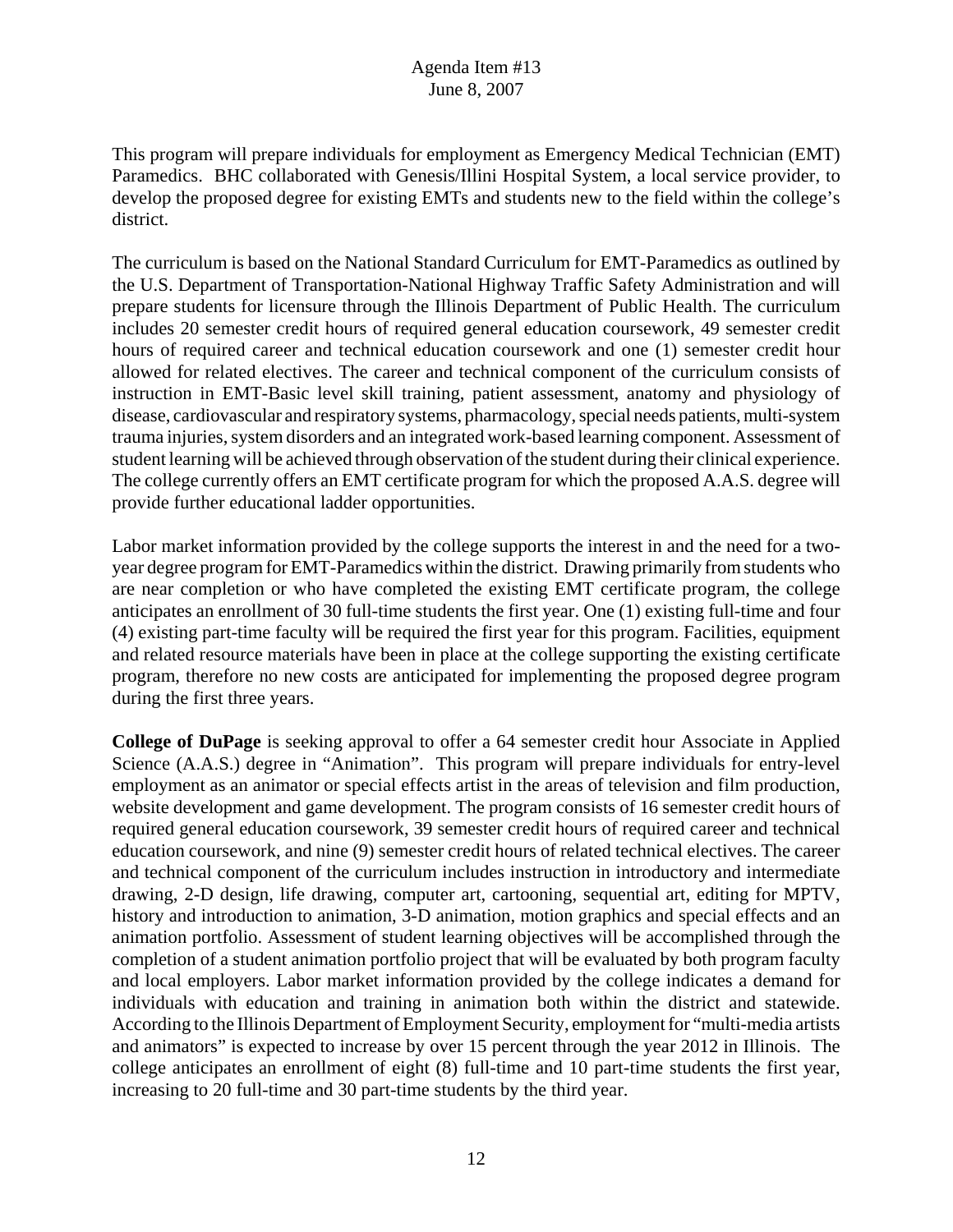This program will prepare individuals for employment as Emergency Medical Technician (EMT) Paramedics. BHC collaborated with Genesis/Illini Hospital System, a local service provider, to develop the proposed degree for existing EMTs and students new to the field within the college's district.

The curriculum is based on the National Standard Curriculum for EMT-Paramedics as outlined by the U.S. Department of Transportation-National Highway Traffic Safety Administration and will prepare students for licensure through the Illinois Department of Public Health. The curriculum includes 20 semester credit hours of required general education coursework, 49 semester credit hours of required career and technical education coursework and one (1) semester credit hour allowed for related electives. The career and technical component of the curriculum consists of instruction in EMT-Basic level skill training, patient assessment, anatomy and physiology of disease, cardiovascular and respiratory systems, pharmacology, special needs patients, multi-system trauma injuries, system disorders and an integrated work-based learning component. Assessment of student learning will be achieved through observation of the student during their clinical experience. The college currently offers an EMT certificate program for which the proposed A.A.S. degree will provide further educational ladder opportunities.

Labor market information provided by the college supports the interest in and the need for a twoyear degree program for EMT-Paramedics within the district. Drawing primarily from students who are near completion or who have completed the existing EMT certificate program, the college anticipates an enrollment of 30 full-time students the first year. One (1) existing full-time and four (4) existing part-time faculty will be required the first year for this program. Facilities, equipment and related resource materials have been in place at the college supporting the existing certificate program, therefore no new costs are anticipated for implementing the proposed degree program during the first three years.

**College of DuPage** is seeking approval to offer a 64 semester credit hour Associate in Applied Science (A.A.S.) degree in "Animation". This program will prepare individuals for entry-level employment as an animator or special effects artist in the areas of television and film production, website development and game development. The program consists of 16 semester credit hours of required general education coursework, 39 semester credit hours of required career and technical education coursework, and nine (9) semester credit hours of related technical electives. The career and technical component of the curriculum includes instruction in introductory and intermediate drawing, 2-D design, life drawing, computer art, cartooning, sequential art, editing for MPTV, history and introduction to animation, 3-D animation, motion graphics and special effects and an animation portfolio. Assessment of student learning objectives will be accomplished through the completion of a student animation portfolio project that will be evaluated by both program faculty and local employers. Labor market information provided by the college indicates a demand for individuals with education and training in animation both within the district and statewide. According to the Illinois Department of Employment Security, employment for "multi-media artists and animators" is expected to increase by over 15 percent through the year 2012 in Illinois. The college anticipates an enrollment of eight (8) full-time and 10 part-time students the first year, increasing to 20 full-time and 30 part-time students by the third year.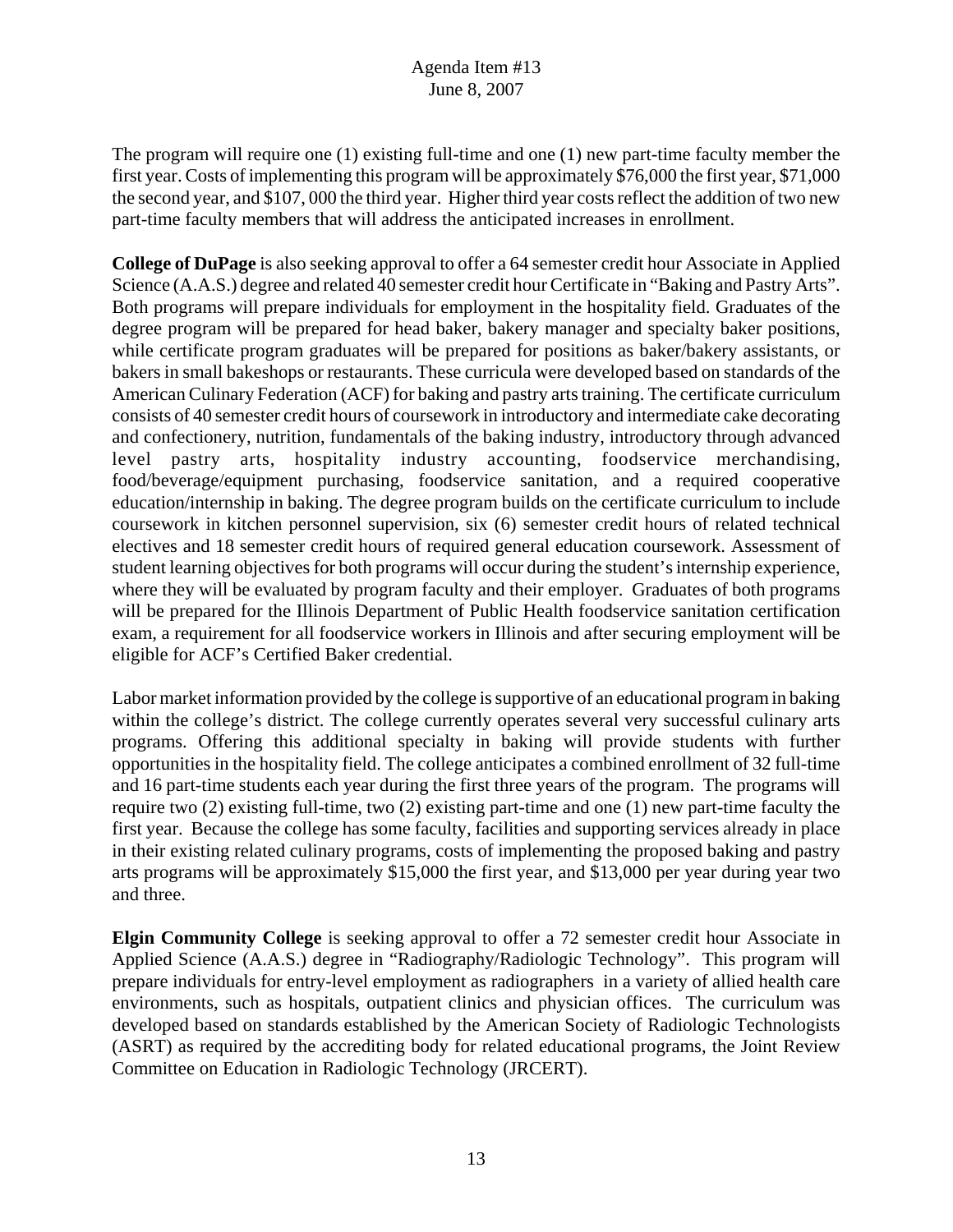The program will require one (1) existing full-time and one (1) new part-time faculty member the first year. Costs of implementing this program will be approximately \$76,000 the first year, \$71,000 the second year, and \$107, 000 the third year. Higher third year costs reflect the addition of two new part-time faculty members that will address the anticipated increases in enrollment.

**College of DuPage** is also seeking approval to offer a 64 semester credit hour Associate in Applied Science (A.A.S.) degree and related 40 semester credit hour Certificate in "Baking and Pastry Arts". Both programs will prepare individuals for employment in the hospitality field. Graduates of the degree program will be prepared for head baker, bakery manager and specialty baker positions, while certificate program graduates will be prepared for positions as baker/bakery assistants, or bakers in small bakeshops or restaurants. These curricula were developed based on standards of the American Culinary Federation (ACF) for baking and pastry arts training. The certificate curriculum consists of 40 semester credit hours of coursework in introductory and intermediate cake decorating and confectionery, nutrition, fundamentals of the baking industry, introductory through advanced level pastry arts, hospitality industry accounting, foodservice merchandising, food/beverage/equipment purchasing, foodservice sanitation, and a required cooperative education/internship in baking. The degree program builds on the certificate curriculum to include coursework in kitchen personnel supervision, six (6) semester credit hours of related technical electives and 18 semester credit hours of required general education coursework. Assessment of student learning objectives for both programs will occur during the student's internship experience, where they will be evaluated by program faculty and their employer. Graduates of both programs will be prepared for the Illinois Department of Public Health foodservice sanitation certification exam, a requirement for all foodservice workers in Illinois and after securing employment will be eligible for ACF's Certified Baker credential.

Labor market information provided by the college is supportive of an educational program in baking within the college's district. The college currently operates several very successful culinary arts programs. Offering this additional specialty in baking will provide students with further opportunities in the hospitality field. The college anticipates a combined enrollment of 32 full-time and 16 part-time students each year during the first three years of the program. The programs will require two (2) existing full-time, two (2) existing part-time and one (1) new part-time faculty the first year. Because the college has some faculty, facilities and supporting services already in place in their existing related culinary programs, costs of implementing the proposed baking and pastry arts programs will be approximately \$15,000 the first year, and \$13,000 per year during year two and three.

**Elgin Community College** is seeking approval to offer a 72 semester credit hour Associate in Applied Science (A.A.S.) degree in "Radiography/Radiologic Technology". This program will prepare individuals for entry-level employment as radiographers in a variety of allied health care environments, such as hospitals, outpatient clinics and physician offices. The curriculum was developed based on standards established by the American Society of Radiologic Technologists (ASRT) as required by the accrediting body for related educational programs, the Joint Review Committee on Education in Radiologic Technology (JRCERT).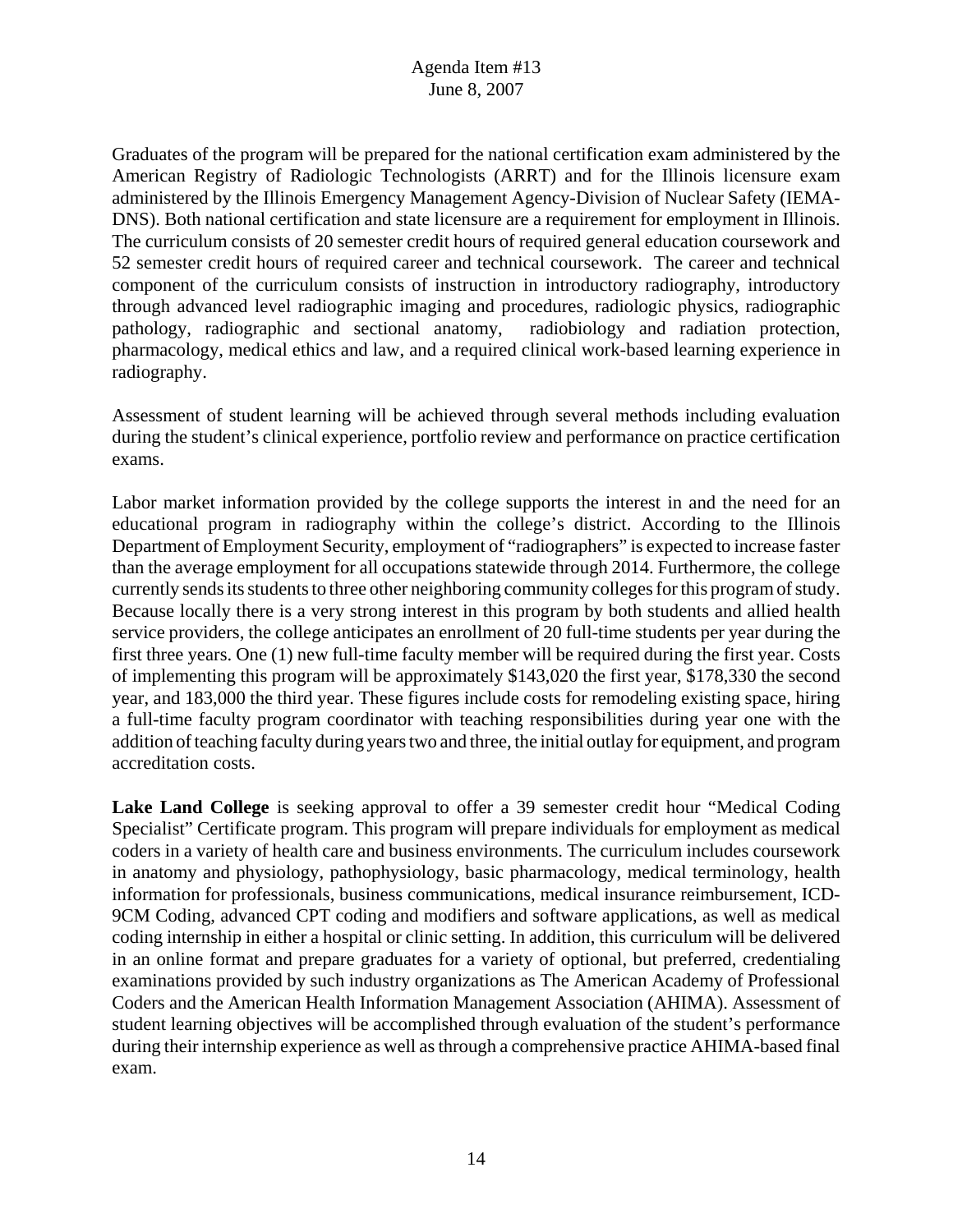Graduates of the program will be prepared for the national certification exam administered by the American Registry of Radiologic Technologists (ARRT) and for the Illinois licensure exam administered by the Illinois Emergency Management Agency-Division of Nuclear Safety (IEMA-DNS). Both national certification and state licensure are a requirement for employment in Illinois. The curriculum consists of 20 semester credit hours of required general education coursework and 52 semester credit hours of required career and technical coursework. The career and technical component of the curriculum consists of instruction in introductory radiography, introductory through advanced level radiographic imaging and procedures, radiologic physics, radiographic pathology, radiographic and sectional anatomy, radiobiology and radiation protection, pharmacology, medical ethics and law, and a required clinical work-based learning experience in radiography.

Assessment of student learning will be achieved through several methods including evaluation during the student's clinical experience, portfolio review and performance on practice certification exams.

Labor market information provided by the college supports the interest in and the need for an educational program in radiography within the college's district. According to the Illinois Department of Employment Security, employment of "radiographers" is expected to increase faster than the average employment for all occupations statewide through 2014. Furthermore, the college currently sends its students to three other neighboring community colleges for this program of study. Because locally there is a very strong interest in this program by both students and allied health service providers, the college anticipates an enrollment of 20 full-time students per year during the first three years. One (1) new full-time faculty member will be required during the first year. Costs of implementing this program will be approximately \$143,020 the first year, \$178,330 the second year, and 183,000 the third year. These figures include costs for remodeling existing space, hiring a full-time faculty program coordinator with teaching responsibilities during year one with the addition of teaching faculty during years two and three, the initial outlay for equipment, and program accreditation costs.

**Lake Land College** is seeking approval to offer a 39 semester credit hour "Medical Coding Specialist" Certificate program. This program will prepare individuals for employment as medical coders in a variety of health care and business environments. The curriculum includes coursework in anatomy and physiology, pathophysiology, basic pharmacology, medical terminology, health information for professionals, business communications, medical insurance reimbursement, ICD-9CM Coding, advanced CPT coding and modifiers and software applications, as well as medical coding internship in either a hospital or clinic setting. In addition, this curriculum will be delivered in an online format and prepare graduates for a variety of optional, but preferred, credentialing examinations provided by such industry organizations as The American Academy of Professional Coders and the American Health Information Management Association (AHIMA). Assessment of student learning objectives will be accomplished through evaluation of the student's performance during their internship experience as well as through a comprehensive practice AHIMA-based final exam.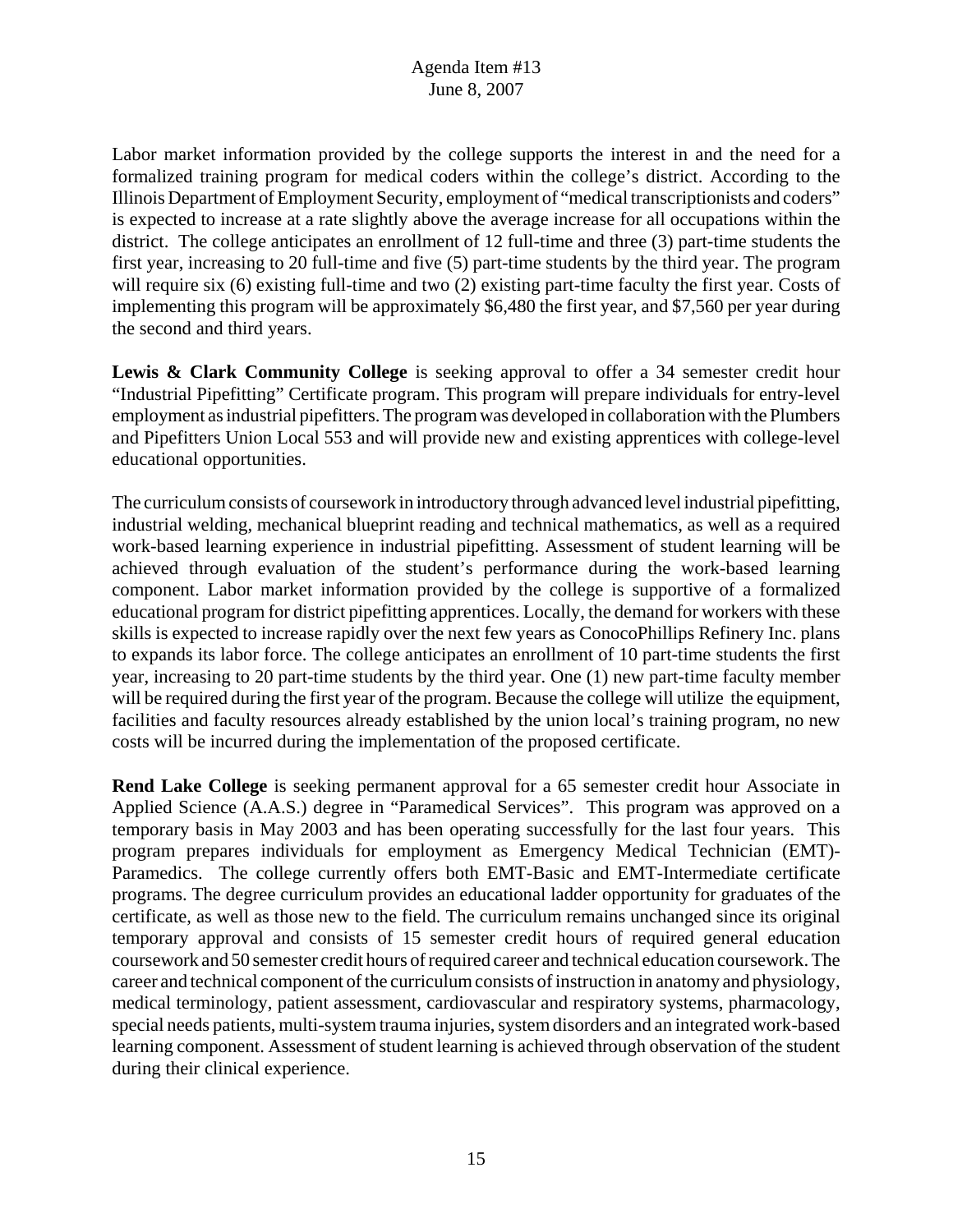Labor market information provided by the college supports the interest in and the need for a formalized training program for medical coders within the college's district. According to the Illinois Department of Employment Security, employment of "medical transcriptionists and coders" is expected to increase at a rate slightly above the average increase for all occupations within the district. The college anticipates an enrollment of 12 full-time and three (3) part-time students the first year, increasing to 20 full-time and five (5) part-time students by the third year. The program will require six (6) existing full-time and two (2) existing part-time faculty the first year. Costs of implementing this program will be approximately \$6,480 the first year, and \$7,560 per year during the second and third years.

Lewis & Clark Community College is seeking approval to offer a 34 semester credit hour "Industrial Pipefitting" Certificate program. This program will prepare individuals for entry-level employment as industrial pipefitters. The program was developed in collaboration with the Plumbers and Pipefitters Union Local 553 and will provide new and existing apprentices with college-level educational opportunities.

The curriculum consists of coursework in introductory through advanced level industrial pipefitting, industrial welding, mechanical blueprint reading and technical mathematics, as well as a required work-based learning experience in industrial pipefitting. Assessment of student learning will be achieved through evaluation of the student's performance during the work-based learning component. Labor market information provided by the college is supportive of a formalized educational program for district pipefitting apprentices. Locally, the demand for workers with these skills is expected to increase rapidly over the next few years as ConocoPhillips Refinery Inc. plans to expands its labor force. The college anticipates an enrollment of 10 part-time students the first year, increasing to 20 part-time students by the third year. One (1) new part-time faculty member will be required during the first year of the program. Because the college will utilize the equipment, facilities and faculty resources already established by the union local's training program, no new costs will be incurred during the implementation of the proposed certificate.

**Rend Lake College** is seeking permanent approval for a 65 semester credit hour Associate in Applied Science (A.A.S.) degree in "Paramedical Services". This program was approved on a temporary basis in May 2003 and has been operating successfully for the last four years. This program prepares individuals for employment as Emergency Medical Technician (EMT)- Paramedics. The college currently offers both EMT-Basic and EMT-Intermediate certificate programs. The degree curriculum provides an educational ladder opportunity for graduates of the certificate, as well as those new to the field. The curriculum remains unchanged since its original temporary approval and consists of 15 semester credit hours of required general education coursework and 50 semester credit hours of required career and technical education coursework. The career and technical component of the curriculum consists of instruction in anatomy and physiology, medical terminology, patient assessment, cardiovascular and respiratory systems, pharmacology, special needs patients, multi-system trauma injuries, system disorders and an integrated work-based learning component. Assessment of student learning is achieved through observation of the student during their clinical experience.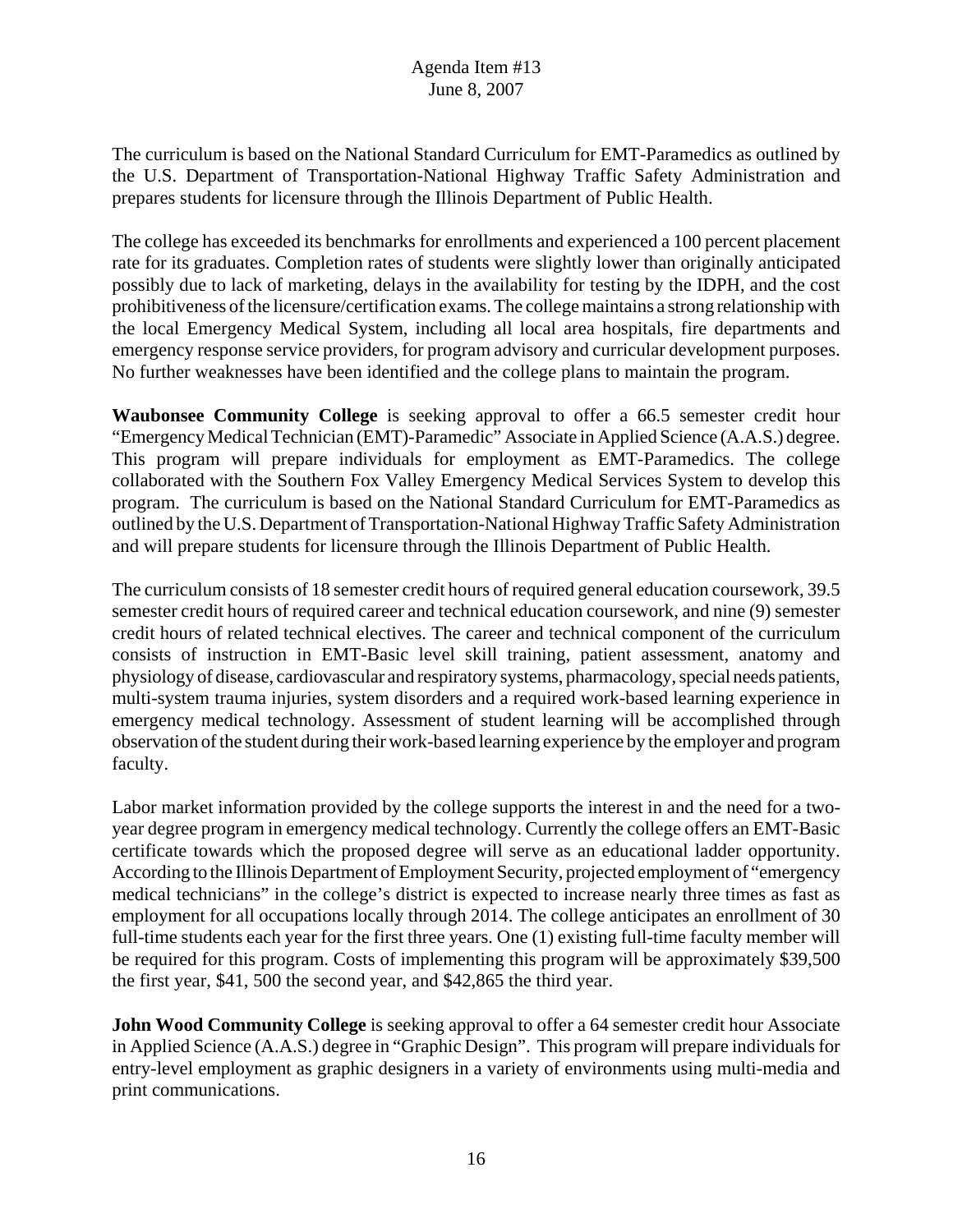The curriculum is based on the National Standard Curriculum for EMT-Paramedics as outlined by the U.S. Department of Transportation-National Highway Traffic Safety Administration and prepares students for licensure through the Illinois Department of Public Health.

The college has exceeded its benchmarks for enrollments and experienced a 100 percent placement rate for its graduates. Completion rates of students were slightly lower than originally anticipated possibly due to lack of marketing, delays in the availability for testing by the IDPH, and the cost prohibitiveness of the licensure/certification exams. The college maintains a strong relationship with the local Emergency Medical System, including all local area hospitals, fire departments and emergency response service providers, for program advisory and curricular development purposes. No further weaknesses have been identified and the college plans to maintain the program.

**Waubonsee Community College** is seeking approval to offer a 66.5 semester credit hour "Emergency Medical Technician (EMT)-Paramedic" Associate in Applied Science (A.A.S.) degree. This program will prepare individuals for employment as EMT-Paramedics. The college collaborated with the Southern Fox Valley Emergency Medical Services System to develop this program. The curriculum is based on the National Standard Curriculum for EMT-Paramedics as outlined by the U.S. Department of Transportation-National Highway Traffic Safety Administration and will prepare students for licensure through the Illinois Department of Public Health.

The curriculum consists of 18 semester credit hours of required general education coursework, 39.5 semester credit hours of required career and technical education coursework, and nine (9) semester credit hours of related technical electives. The career and technical component of the curriculum consists of instruction in EMT-Basic level skill training, patient assessment, anatomy and physiology of disease, cardiovascular and respiratory systems, pharmacology, special needs patients, multi-system trauma injuries, system disorders and a required work-based learning experience in emergency medical technology. Assessment of student learning will be accomplished through observation of the student during their work-based learning experience by the employer and program faculty.

Labor market information provided by the college supports the interest in and the need for a twoyear degree program in emergency medical technology. Currently the college offers an EMT-Basic certificate towards which the proposed degree will serve as an educational ladder opportunity. According to the Illinois Department of Employment Security, projected employment of "emergency medical technicians" in the college's district is expected to increase nearly three times as fast as employment for all occupations locally through 2014. The college anticipates an enrollment of 30 full-time students each year for the first three years. One (1) existing full-time faculty member will be required for this program. Costs of implementing this program will be approximately \$39,500 the first year, \$41, 500 the second year, and \$42,865 the third year.

**John Wood Community College** is seeking approval to offer a 64 semester credit hour Associate in Applied Science (A.A.S.) degree in "Graphic Design". This program will prepare individuals for entry-level employment as graphic designers in a variety of environments using multi-media and print communications.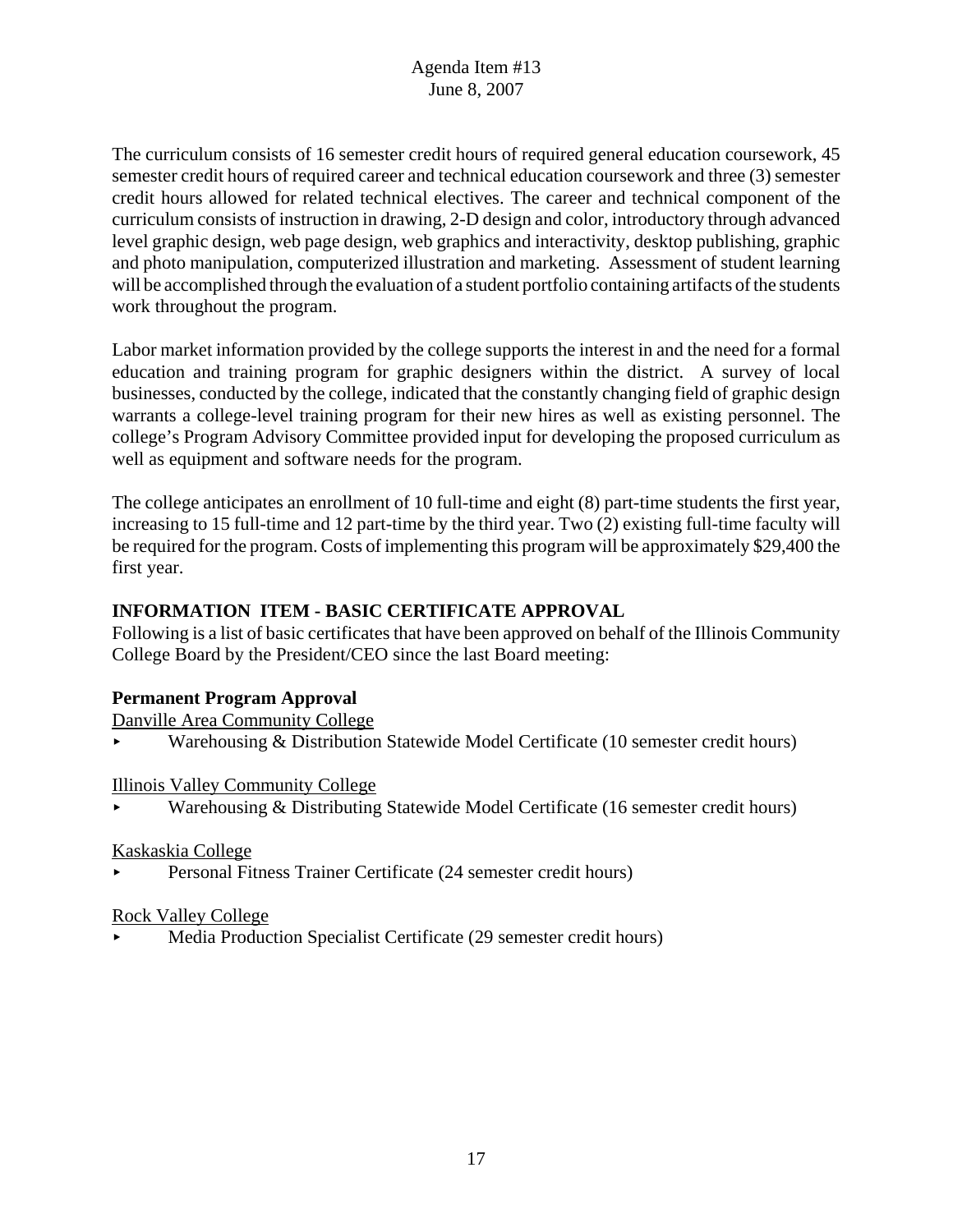The curriculum consists of 16 semester credit hours of required general education coursework, 45 semester credit hours of required career and technical education coursework and three (3) semester credit hours allowed for related technical electives. The career and technical component of the curriculum consists of instruction in drawing, 2-D design and color, introductory through advanced level graphic design, web page design, web graphics and interactivity, desktop publishing, graphic and photo manipulation, computerized illustration and marketing. Assessment of student learning will be accomplished through the evaluation of a student portfolio containing artifacts of the students work throughout the program.

Labor market information provided by the college supports the interest in and the need for a formal education and training program for graphic designers within the district. A survey of local businesses, conducted by the college, indicated that the constantly changing field of graphic design warrants a college-level training program for their new hires as well as existing personnel. The college's Program Advisory Committee provided input for developing the proposed curriculum as well as equipment and software needs for the program.

The college anticipates an enrollment of 10 full-time and eight (8) part-time students the first year, increasing to 15 full-time and 12 part-time by the third year. Two (2) existing full-time faculty will be required for the program. Costs of implementing this program will be approximately \$29,400 the first year.

# **INFORMATION ITEM - BASIC CERTIFICATE APPROVAL**

Following is a list of basic certificates that have been approved on behalf of the Illinois Community College Board by the President/CEO since the last Board meeting:

# **Permanent Program Approval**

Danville Area Community College

< Warehousing & Distribution Statewide Model Certificate (10 semester credit hours)

# Illinois Valley Community College

< Warehousing & Distributing Statewide Model Certificate (16 semester credit hours)

# Kaskaskia College

< Personal Fitness Trainer Certificate (24 semester credit hours)

# Rock Valley College

< Media Production Specialist Certificate (29 semester credit hours)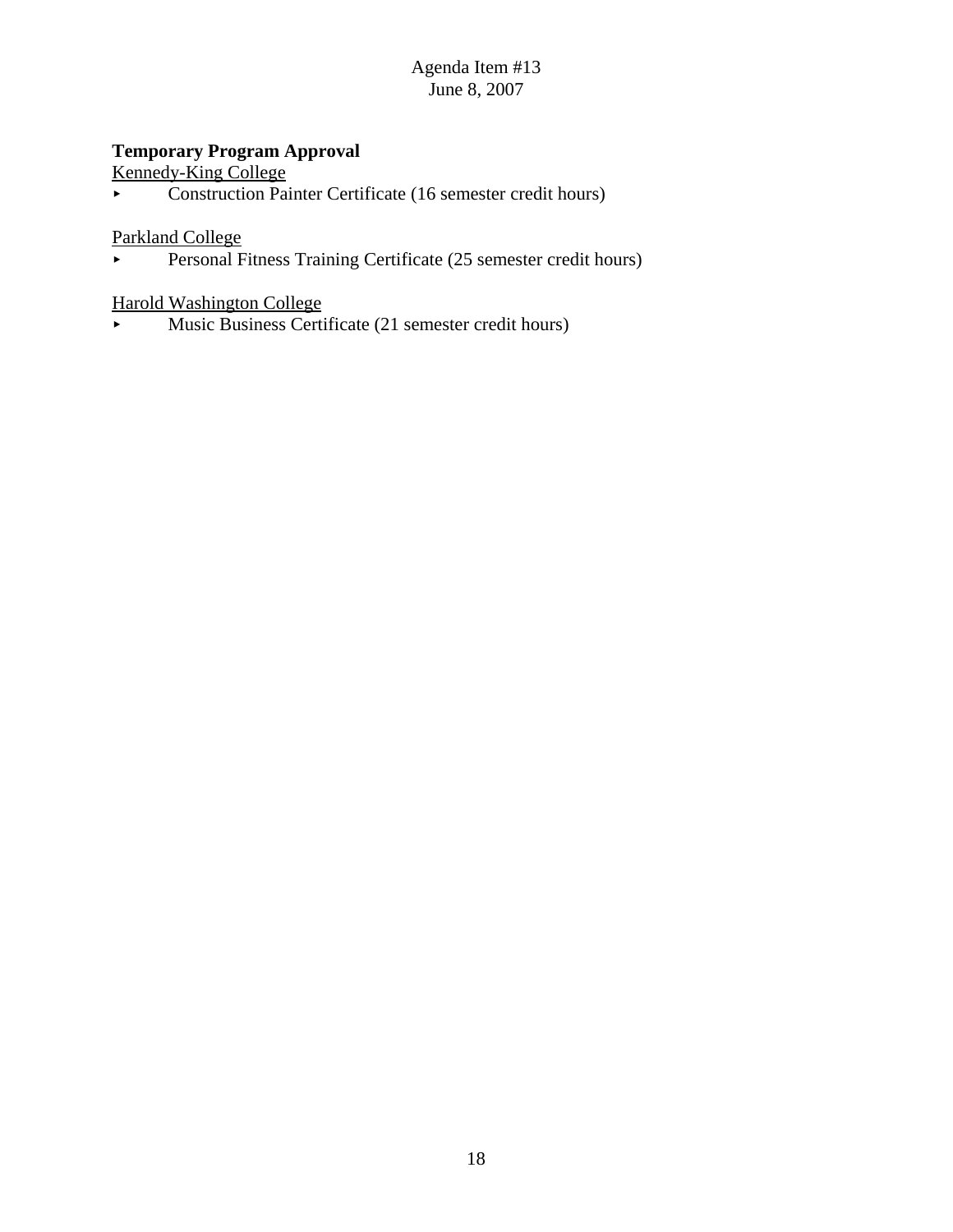# **Temporary Program Approval**

Kennedy-King College

< Construction Painter Certificate (16 semester credit hours)

Parkland College

Personal Fitness Training Certificate (25 semester credit hours)

# Harold Washington College

 $\blacktriangleright$  Music Business Certificate (21 semester credit hours)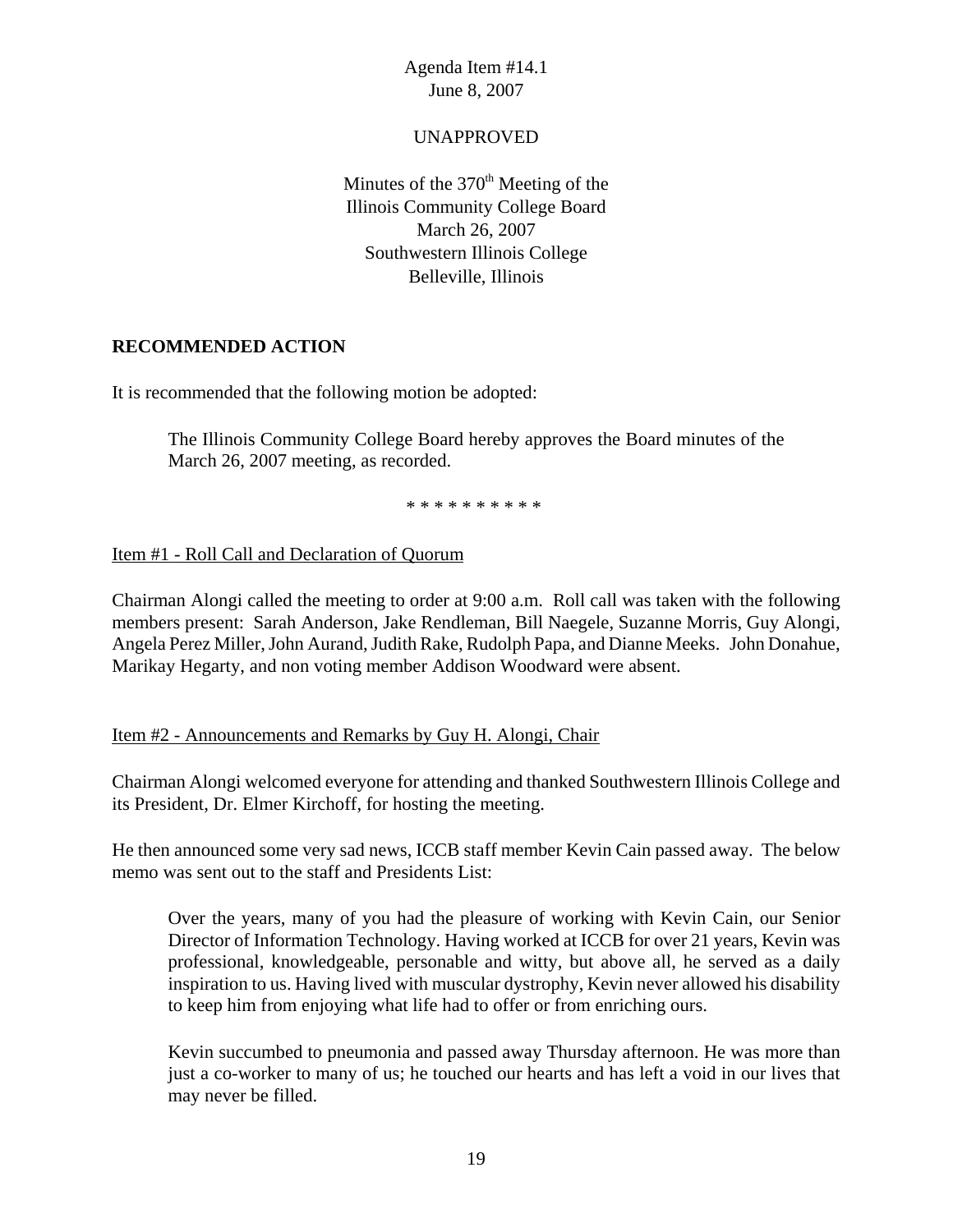### UNAPPROVED

Minutes of the  $370<sup>th</sup>$  Meeting of the Illinois Community College Board March 26, 2007 Southwestern Illinois College Belleville, Illinois

# **RECOMMENDED ACTION**

It is recommended that the following motion be adopted:

The Illinois Community College Board hereby approves the Board minutes of the March 26, 2007 meeting, as recorded.

\* \* \* \* \* \* \* \* \* \*

# Item #1 - Roll Call and Declaration of Quorum

Chairman Alongi called the meeting to order at 9:00 a.m. Roll call was taken with the following members present: Sarah Anderson, Jake Rendleman, Bill Naegele, Suzanne Morris, Guy Alongi, Angela Perez Miller, John Aurand, Judith Rake, Rudolph Papa, and Dianne Meeks. John Donahue, Marikay Hegarty, and non voting member Addison Woodward were absent.

### Item #2 - Announcements and Remarks by Guy H. Alongi, Chair

Chairman Alongi welcomed everyone for attending and thanked Southwestern Illinois College and its President, Dr. Elmer Kirchoff, for hosting the meeting.

He then announced some very sad news, ICCB staff member Kevin Cain passed away. The below memo was sent out to the staff and Presidents List:

Over the years, many of you had the pleasure of working with Kevin Cain, our Senior Director of Information Technology. Having worked at ICCB for over 21 years, Kevin was professional, knowledgeable, personable and witty, but above all, he served as a daily inspiration to us. Having lived with muscular dystrophy, Kevin never allowed his disability to keep him from enjoying what life had to offer or from enriching ours.

Kevin succumbed to pneumonia and passed away Thursday afternoon. He was more than just a co-worker to many of us; he touched our hearts and has left a void in our lives that may never be filled.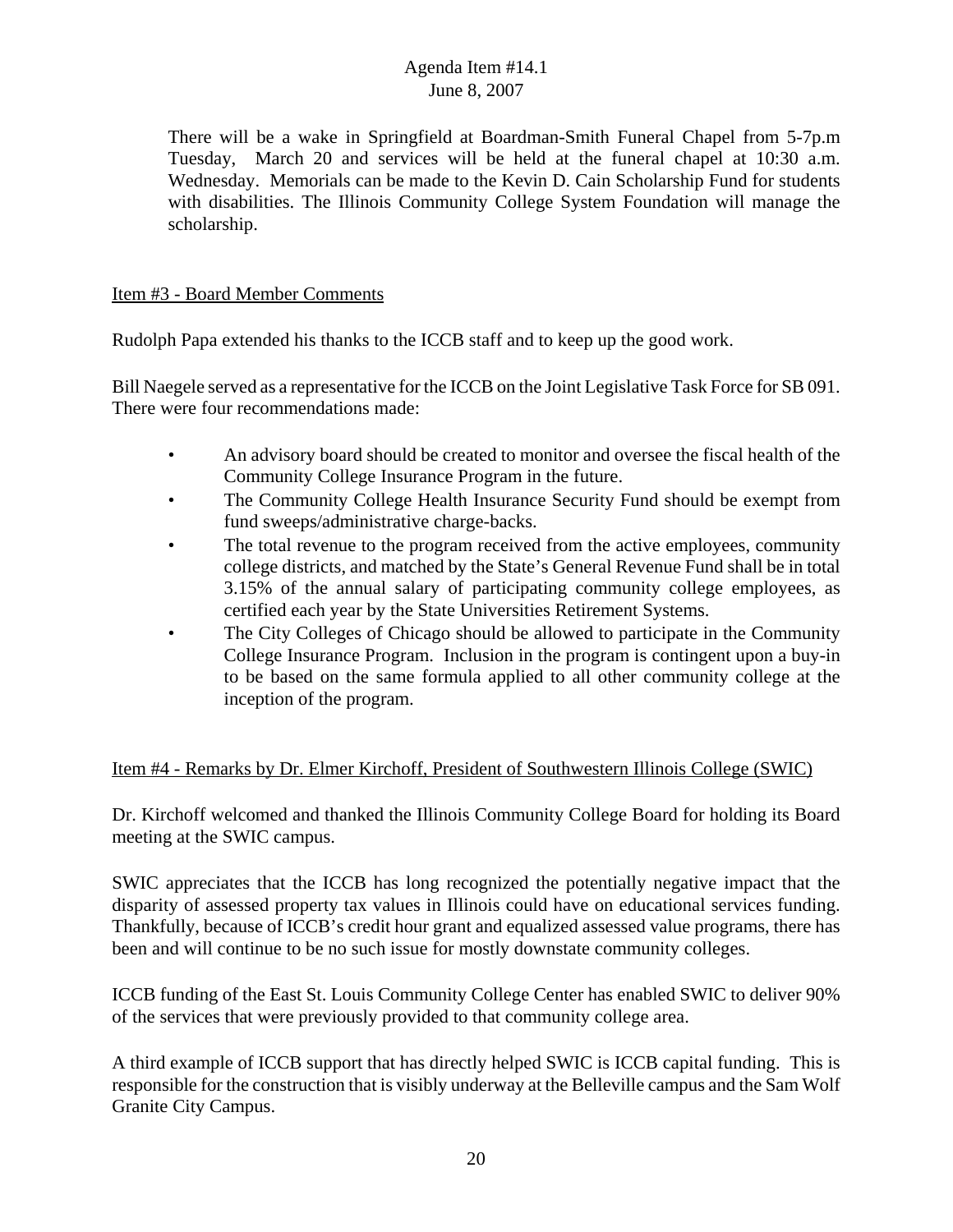There will be a wake in Springfield at Boardman-Smith Funeral Chapel from 5-7p.m Tuesday, March 20 and services will be held at the funeral chapel at 10:30 a.m. Wednesday. Memorials can be made to the Kevin D. Cain Scholarship Fund for students with disabilities. The Illinois Community College System Foundation will manage the scholarship.

# Item #3 - Board Member Comments

Rudolph Papa extended his thanks to the ICCB staff and to keep up the good work.

Bill Naegele served as a representative for the ICCB on the Joint Legislative Task Force for SB 091. There were four recommendations made:

- An advisory board should be created to monitor and oversee the fiscal health of the Community College Insurance Program in the future.
- The Community College Health Insurance Security Fund should be exempt from fund sweeps/administrative charge-backs.
- The total revenue to the program received from the active employees, community college districts, and matched by the State's General Revenue Fund shall be in total 3.15% of the annual salary of participating community college employees, as certified each year by the State Universities Retirement Systems.
- The City Colleges of Chicago should be allowed to participate in the Community College Insurance Program. Inclusion in the program is contingent upon a buy-in to be based on the same formula applied to all other community college at the inception of the program.

# Item #4 - Remarks by Dr. Elmer Kirchoff, President of Southwestern Illinois College (SWIC)

Dr. Kirchoff welcomed and thanked the Illinois Community College Board for holding its Board meeting at the SWIC campus.

SWIC appreciates that the ICCB has long recognized the potentially negative impact that the disparity of assessed property tax values in Illinois could have on educational services funding. Thankfully, because of ICCB's credit hour grant and equalized assessed value programs, there has been and will continue to be no such issue for mostly downstate community colleges.

ICCB funding of the East St. Louis Community College Center has enabled SWIC to deliver 90% of the services that were previously provided to that community college area.

A third example of ICCB support that has directly helped SWIC is ICCB capital funding. This is responsible for the construction that is visibly underway at the Belleville campus and the Sam Wolf Granite City Campus.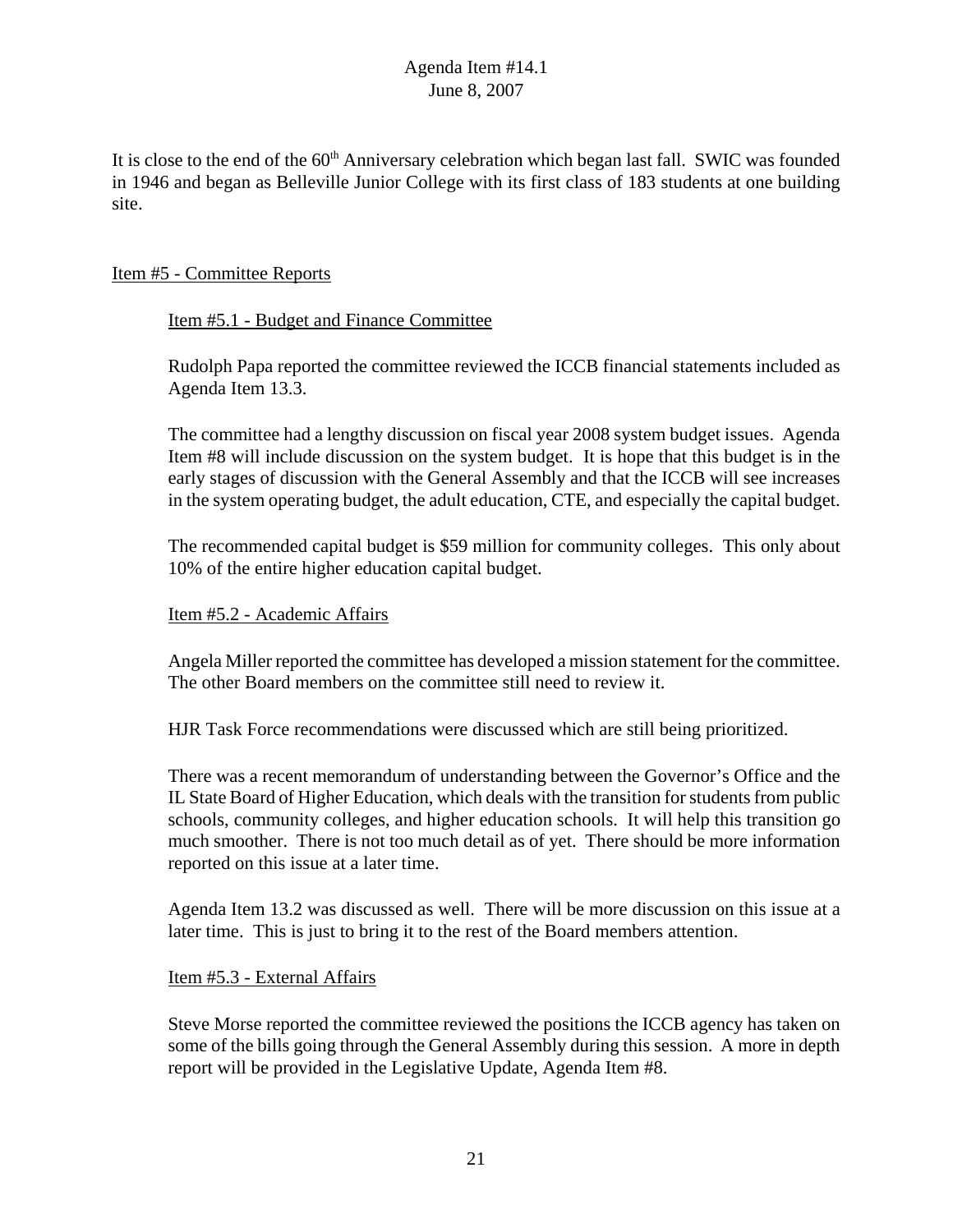It is close to the end of the 60<sup>th</sup> Anniversary celebration which began last fall. SWIC was founded in 1946 and began as Belleville Junior College with its first class of 183 students at one building site.

# Item #5 - Committee Reports

# Item #5.1 - Budget and Finance Committee

Rudolph Papa reported the committee reviewed the ICCB financial statements included as Agenda Item 13.3.

The committee had a lengthy discussion on fiscal year 2008 system budget issues. Agenda Item #8 will include discussion on the system budget. It is hope that this budget is in the early stages of discussion with the General Assembly and that the ICCB will see increases in the system operating budget, the adult education, CTE, and especially the capital budget.

The recommended capital budget is \$59 million for community colleges. This only about 10% of the entire higher education capital budget.

### Item #5.2 - Academic Affairs

Angela Miller reported the committee has developed a mission statement for the committee. The other Board members on the committee still need to review it.

HJR Task Force recommendations were discussed which are still being prioritized.

There was a recent memorandum of understanding between the Governor's Office and the IL State Board of Higher Education, which deals with the transition for students from public schools, community colleges, and higher education schools. It will help this transition go much smoother. There is not too much detail as of yet. There should be more information reported on this issue at a later time.

Agenda Item 13.2 was discussed as well. There will be more discussion on this issue at a later time. This is just to bring it to the rest of the Board members attention.

### Item #5.3 - External Affairs

Steve Morse reported the committee reviewed the positions the ICCB agency has taken on some of the bills going through the General Assembly during this session. A more in depth report will be provided in the Legislative Update, Agenda Item #8.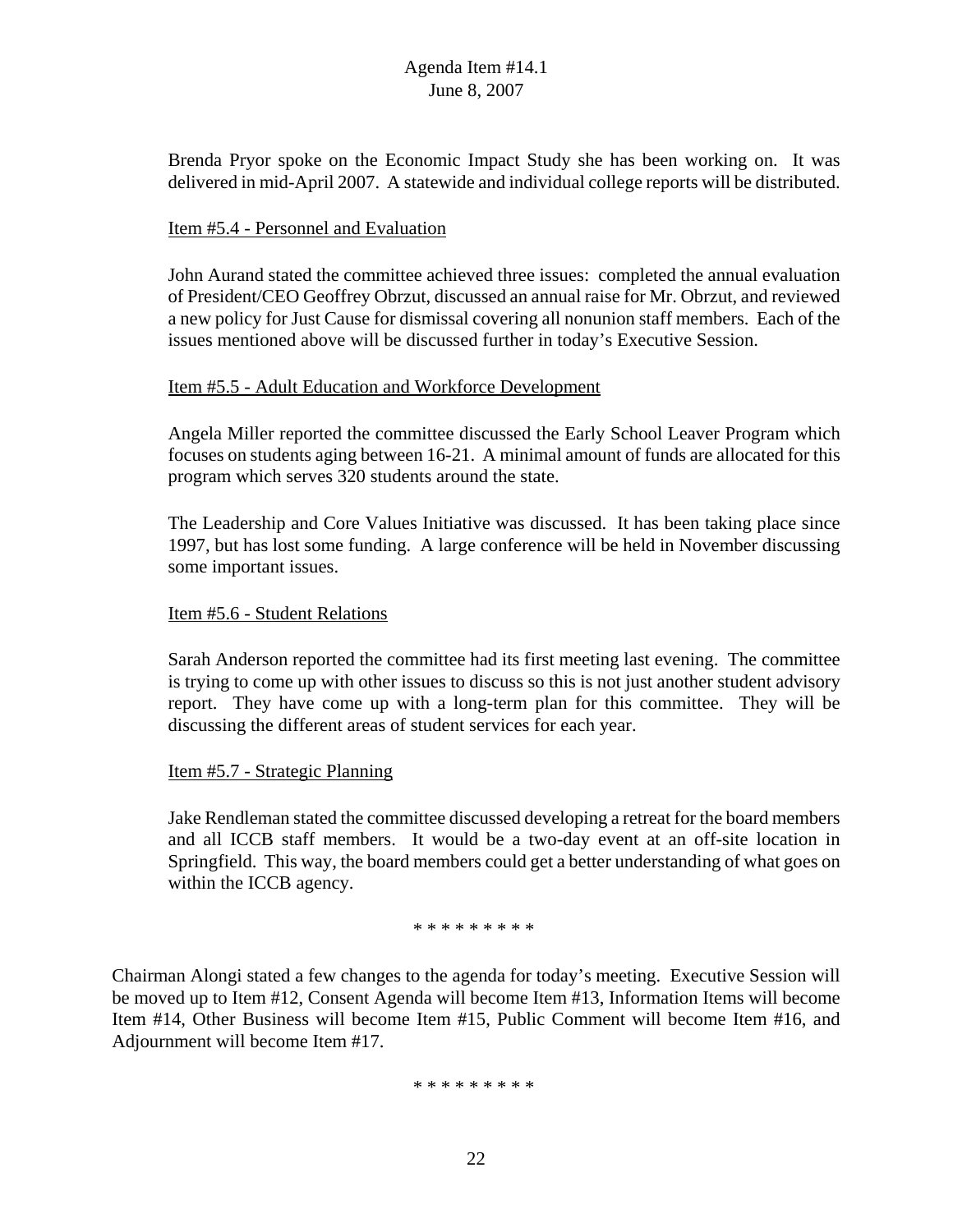Brenda Pryor spoke on the Economic Impact Study she has been working on. It was delivered in mid-April 2007. A statewide and individual college reports will be distributed.

### Item #5.4 - Personnel and Evaluation

John Aurand stated the committee achieved three issues: completed the annual evaluation of President/CEO Geoffrey Obrzut, discussed an annual raise for Mr. Obrzut, and reviewed a new policy for Just Cause for dismissal covering all nonunion staff members. Each of the issues mentioned above will be discussed further in today's Executive Session.

### Item #5.5 - Adult Education and Workforce Development

Angela Miller reported the committee discussed the Early School Leaver Program which focuses on students aging between 16-21. A minimal amount of funds are allocated for this program which serves 320 students around the state.

The Leadership and Core Values Initiative was discussed. It has been taking place since 1997, but has lost some funding. A large conference will be held in November discussing some important issues.

### Item #5.6 - Student Relations

Sarah Anderson reported the committee had its first meeting last evening. The committee is trying to come up with other issues to discuss so this is not just another student advisory report. They have come up with a long-term plan for this committee. They will be discussing the different areas of student services for each year.

### Item #5.7 - Strategic Planning

Jake Rendleman stated the committee discussed developing a retreat for the board members and all ICCB staff members. It would be a two-day event at an off-site location in Springfield. This way, the board members could get a better understanding of what goes on within the ICCB agency.

### \* \* \* \* \* \* \* \* \*

Chairman Alongi stated a few changes to the agenda for today's meeting. Executive Session will be moved up to Item #12, Consent Agenda will become Item #13, Information Items will become Item #14, Other Business will become Item #15, Public Comment will become Item #16, and Adjournment will become Item #17.

### \* \* \* \* \* \* \* \* \*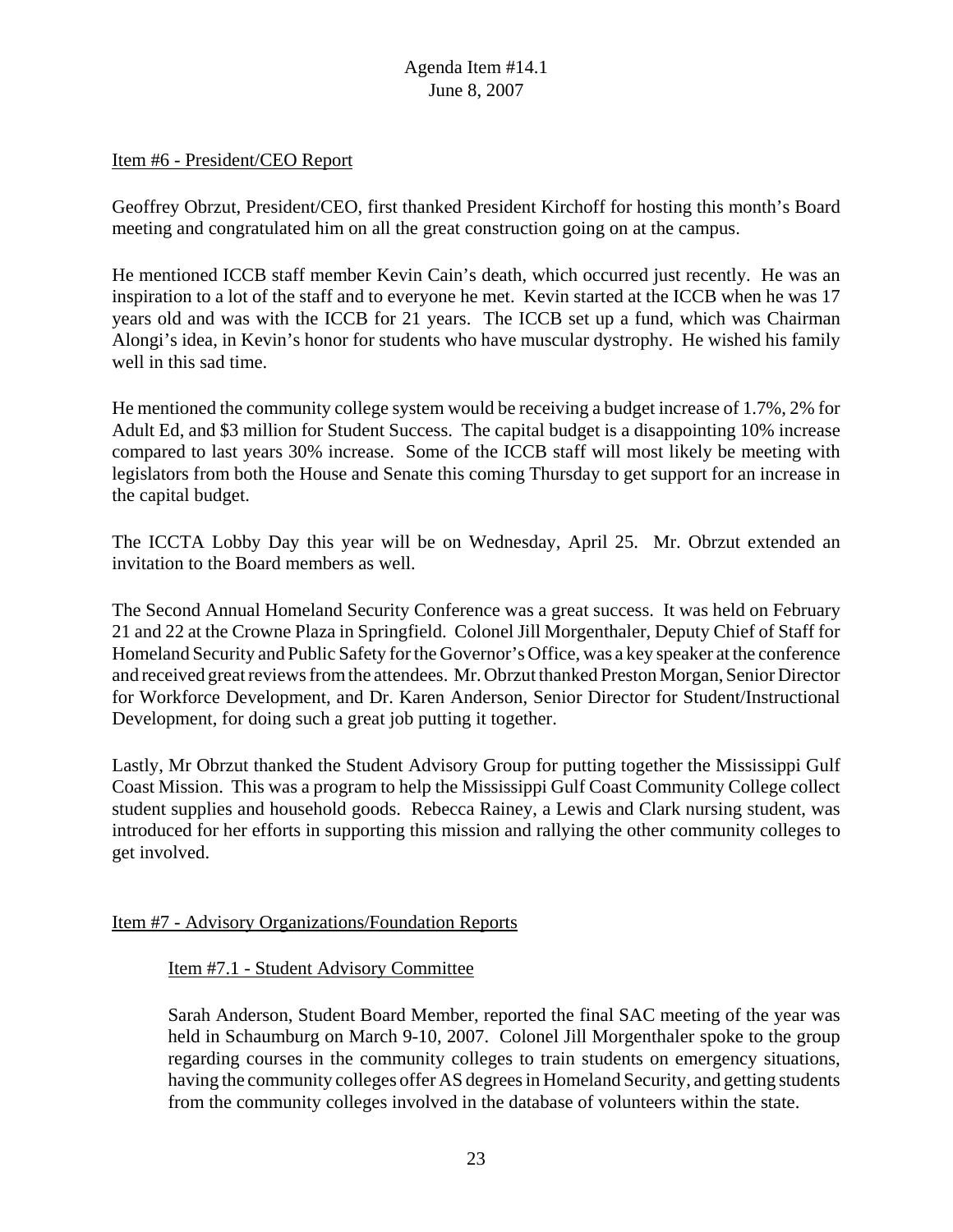### Item #6 - President/CEO Report

Geoffrey Obrzut, President/CEO, first thanked President Kirchoff for hosting this month's Board meeting and congratulated him on all the great construction going on at the campus.

He mentioned ICCB staff member Kevin Cain's death, which occurred just recently. He was an inspiration to a lot of the staff and to everyone he met. Kevin started at the ICCB when he was 17 years old and was with the ICCB for 21 years. The ICCB set up a fund, which was Chairman Alongi's idea, in Kevin's honor for students who have muscular dystrophy. He wished his family well in this sad time.

He mentioned the community college system would be receiving a budget increase of 1.7%, 2% for Adult Ed, and \$3 million for Student Success. The capital budget is a disappointing 10% increase compared to last years 30% increase. Some of the ICCB staff will most likely be meeting with legislators from both the House and Senate this coming Thursday to get support for an increase in the capital budget.

The ICCTA Lobby Day this year will be on Wednesday, April 25. Mr. Obrzut extended an invitation to the Board members as well.

The Second Annual Homeland Security Conference was a great success. It was held on February 21 and 22 at the Crowne Plaza in Springfield. Colonel Jill Morgenthaler, Deputy Chief of Staff for Homeland Security and Public Safety for the Governor's Office, was a key speaker at the conference and received great reviews from the attendees. Mr. Obrzut thanked Preston Morgan, Senior Director for Workforce Development, and Dr. Karen Anderson, Senior Director for Student/Instructional Development, for doing such a great job putting it together.

Lastly, Mr Obrzut thanked the Student Advisory Group for putting together the Mississippi Gulf Coast Mission. This was a program to help the Mississippi Gulf Coast Community College collect student supplies and household goods. Rebecca Rainey, a Lewis and Clark nursing student, was introduced for her efforts in supporting this mission and rallying the other community colleges to get involved.

### Item #7 - Advisory Organizations/Foundation Reports

### Item #7.1 - Student Advisory Committee

Sarah Anderson, Student Board Member, reported the final SAC meeting of the year was held in Schaumburg on March 9-10, 2007. Colonel Jill Morgenthaler spoke to the group regarding courses in the community colleges to train students on emergency situations, having the community colleges offer AS degrees in Homeland Security, and getting students from the community colleges involved in the database of volunteers within the state.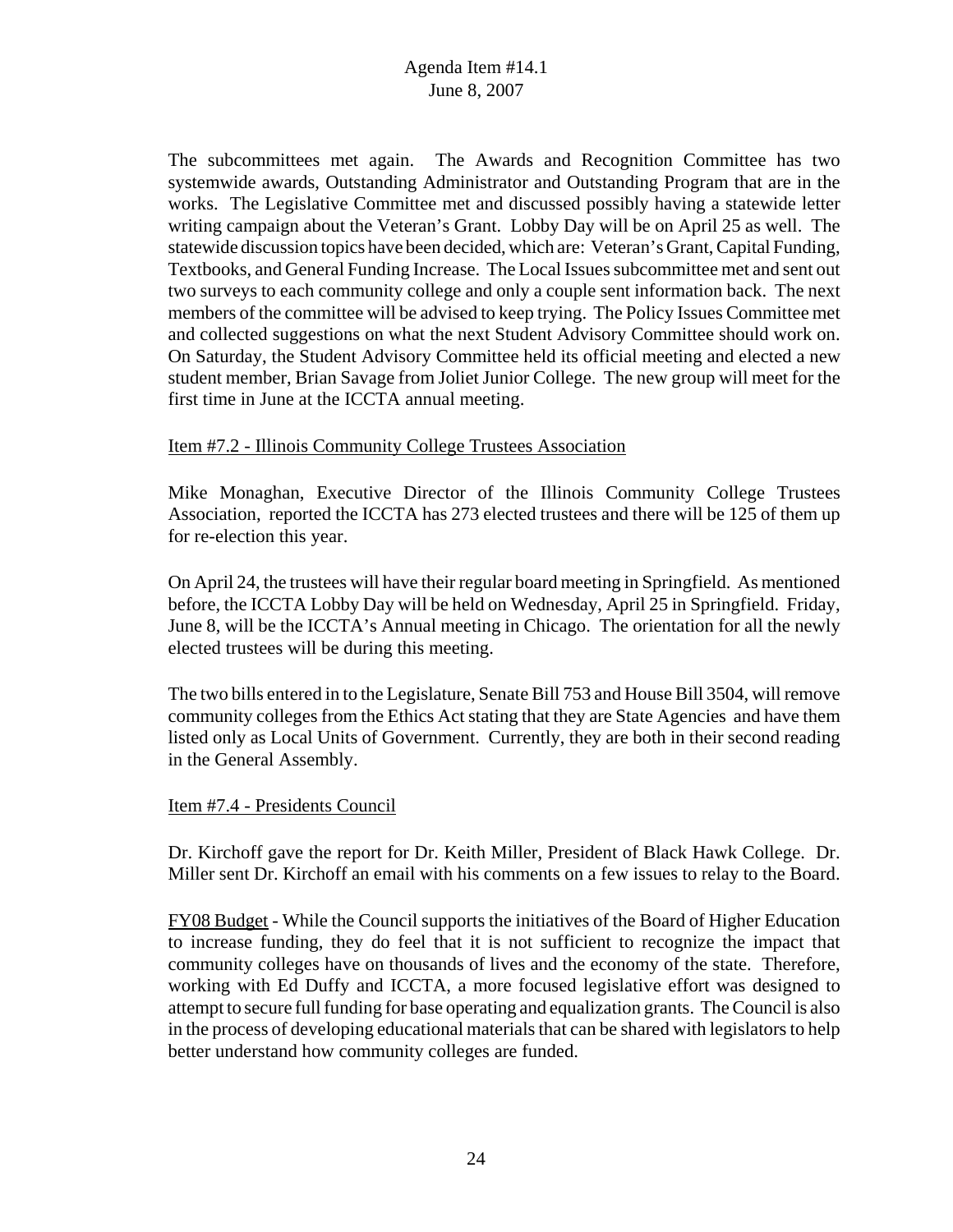The subcommittees met again. The Awards and Recognition Committee has two systemwide awards, Outstanding Administrator and Outstanding Program that are in the works. The Legislative Committee met and discussed possibly having a statewide letter writing campaign about the Veteran's Grant. Lobby Day will be on April 25 as well. The statewide discussion topics have been decided, which are: Veteran's Grant, Capital Funding, Textbooks, and General Funding Increase. The Local Issues subcommittee met and sent out two surveys to each community college and only a couple sent information back. The next members of the committee will be advised to keep trying. The Policy Issues Committee met and collected suggestions on what the next Student Advisory Committee should work on. On Saturday, the Student Advisory Committee held its official meeting and elected a new student member, Brian Savage from Joliet Junior College. The new group will meet for the first time in June at the ICCTA annual meeting.

# Item #7.2 - Illinois Community College Trustees Association

Mike Monaghan, Executive Director of the Illinois Community College Trustees Association, reported the ICCTA has 273 elected trustees and there will be 125 of them up for re-election this year.

On April 24, the trustees will have their regular board meeting in Springfield. As mentioned before, the ICCTA Lobby Day will be held on Wednesday, April 25 in Springfield. Friday, June 8, will be the ICCTA's Annual meeting in Chicago. The orientation for all the newly elected trustees will be during this meeting.

The two bills entered in to the Legislature, Senate Bill 753 and House Bill 3504, will remove community colleges from the Ethics Act stating that they are State Agencies and have them listed only as Local Units of Government. Currently, they are both in their second reading in the General Assembly.

### Item #7.4 - Presidents Council

Dr. Kirchoff gave the report for Dr. Keith Miller, President of Black Hawk College. Dr. Miller sent Dr. Kirchoff an email with his comments on a few issues to relay to the Board.

FY08 Budget - While the Council supports the initiatives of the Board of Higher Education to increase funding, they do feel that it is not sufficient to recognize the impact that community colleges have on thousands of lives and the economy of the state. Therefore, working with Ed Duffy and ICCTA, a more focused legislative effort was designed to attempt to secure full funding for base operating and equalization grants. The Council is also in the process of developing educational materials that can be shared with legislators to help better understand how community colleges are funded.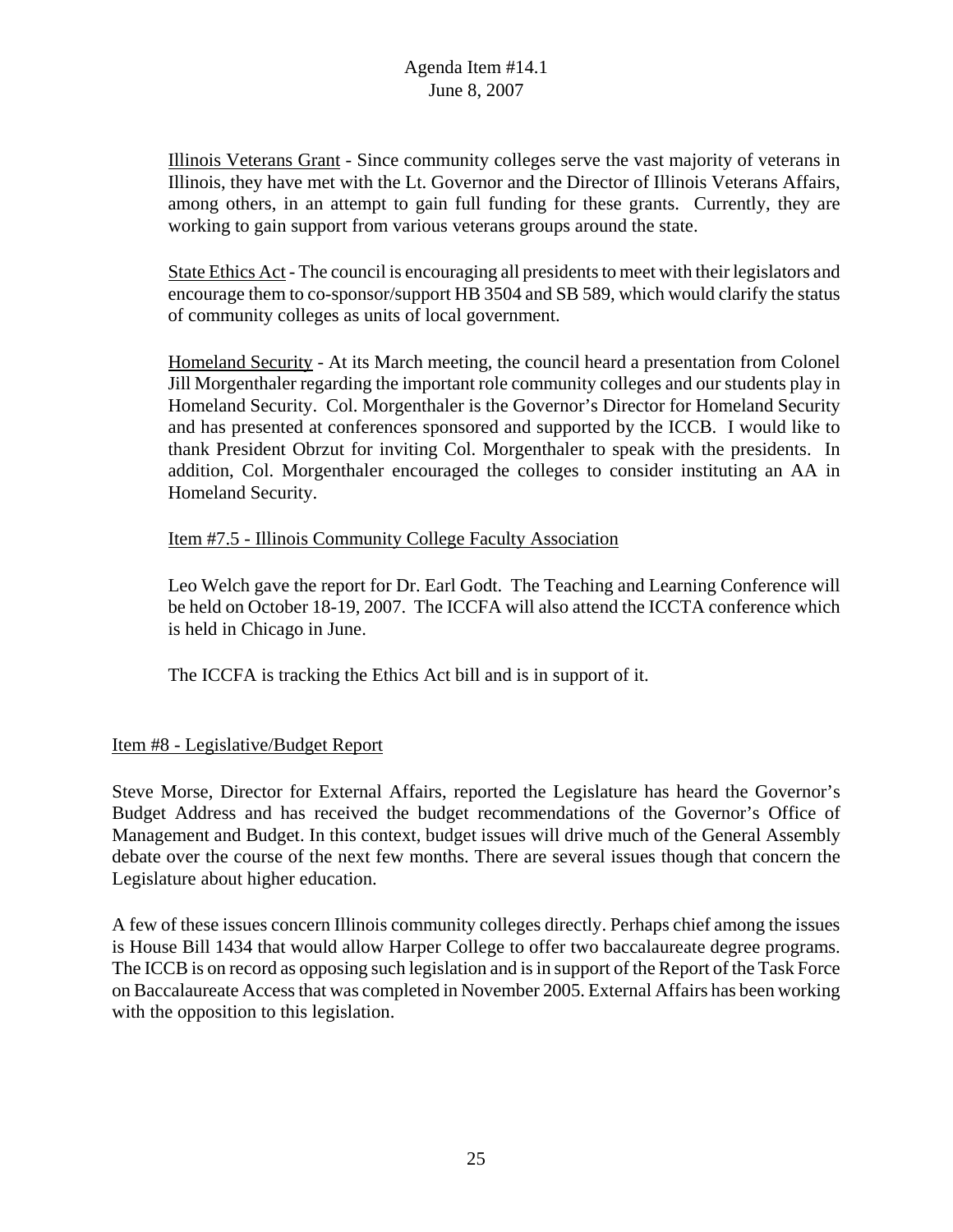Illinois Veterans Grant - Since community colleges serve the vast majority of veterans in Illinois, they have met with the Lt. Governor and the Director of Illinois Veterans Affairs, among others, in an attempt to gain full funding for these grants. Currently, they are working to gain support from various veterans groups around the state.

State Ethics Act - The council is encouraging all presidents to meet with their legislators and encourage them to co-sponsor/support HB 3504 and SB 589, which would clarify the status of community colleges as units of local government.

Homeland Security - At its March meeting, the council heard a presentation from Colonel Jill Morgenthaler regarding the important role community colleges and our students play in Homeland Security. Col. Morgenthaler is the Governor's Director for Homeland Security and has presented at conferences sponsored and supported by the ICCB. I would like to thank President Obrzut for inviting Col. Morgenthaler to speak with the presidents. In addition, Col. Morgenthaler encouraged the colleges to consider instituting an AA in Homeland Security.

# Item #7.5 - Illinois Community College Faculty Association

Leo Welch gave the report for Dr. Earl Godt. The Teaching and Learning Conference will be held on October 18-19, 2007. The ICCFA will also attend the ICCTA conference which is held in Chicago in June.

The ICCFA is tracking the Ethics Act bill and is in support of it.

# Item #8 - Legislative/Budget Report

Steve Morse, Director for External Affairs, reported the Legislature has heard the Governor's Budget Address and has received the budget recommendations of the Governor's Office of Management and Budget. In this context, budget issues will drive much of the General Assembly debate over the course of the next few months. There are several issues though that concern the Legislature about higher education.

A few of these issues concern Illinois community colleges directly. Perhaps chief among the issues is House Bill 1434 that would allow Harper College to offer two baccalaureate degree programs. The ICCB is on record as opposing such legislation and is in support of the Report of the Task Force on Baccalaureate Access that was completed in November 2005. External Affairs has been working with the opposition to this legislation.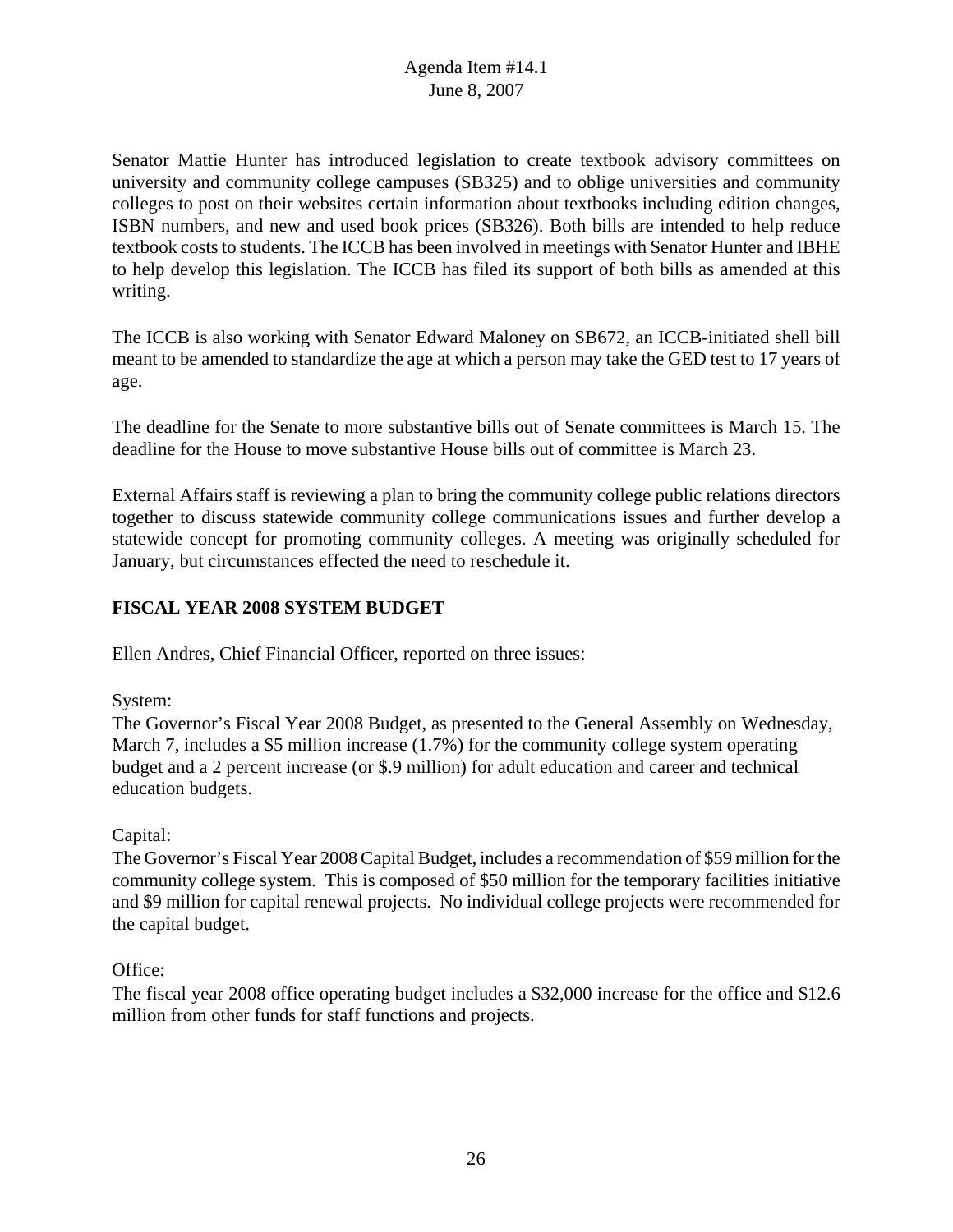Senator Mattie Hunter has introduced legislation to create textbook advisory committees on university and community college campuses (SB325) and to oblige universities and community colleges to post on their websites certain information about textbooks including edition changes, ISBN numbers, and new and used book prices (SB326). Both bills are intended to help reduce textbook costs to students. The ICCB has been involved in meetings with Senator Hunter and IBHE to help develop this legislation. The ICCB has filed its support of both bills as amended at this writing.

The ICCB is also working with Senator Edward Maloney on SB672, an ICCB-initiated shell bill meant to be amended to standardize the age at which a person may take the GED test to 17 years of age.

The deadline for the Senate to more substantive bills out of Senate committees is March 15. The deadline for the House to move substantive House bills out of committee is March 23.

External Affairs staff is reviewing a plan to bring the community college public relations directors together to discuss statewide community college communications issues and further develop a statewide concept for promoting community colleges. A meeting was originally scheduled for January, but circumstances effected the need to reschedule it.

# **FISCAL YEAR 2008 SYSTEM BUDGET**

Ellen Andres, Chief Financial Officer, reported on three issues:

# System:

The Governor's Fiscal Year 2008 Budget, as presented to the General Assembly on Wednesday, March 7, includes a \$5 million increase (1.7%) for the community college system operating budget and a 2 percent increase (or \$.9 million) for adult education and career and technical education budgets.

# Capital:

The Governor's Fiscal Year 2008 Capital Budget, includes a recommendation of \$59 million for the community college system. This is composed of \$50 million for the temporary facilities initiative and \$9 million for capital renewal projects. No individual college projects were recommended for the capital budget.

# Office:

The fiscal year 2008 office operating budget includes a \$32,000 increase for the office and \$12.6 million from other funds for staff functions and projects.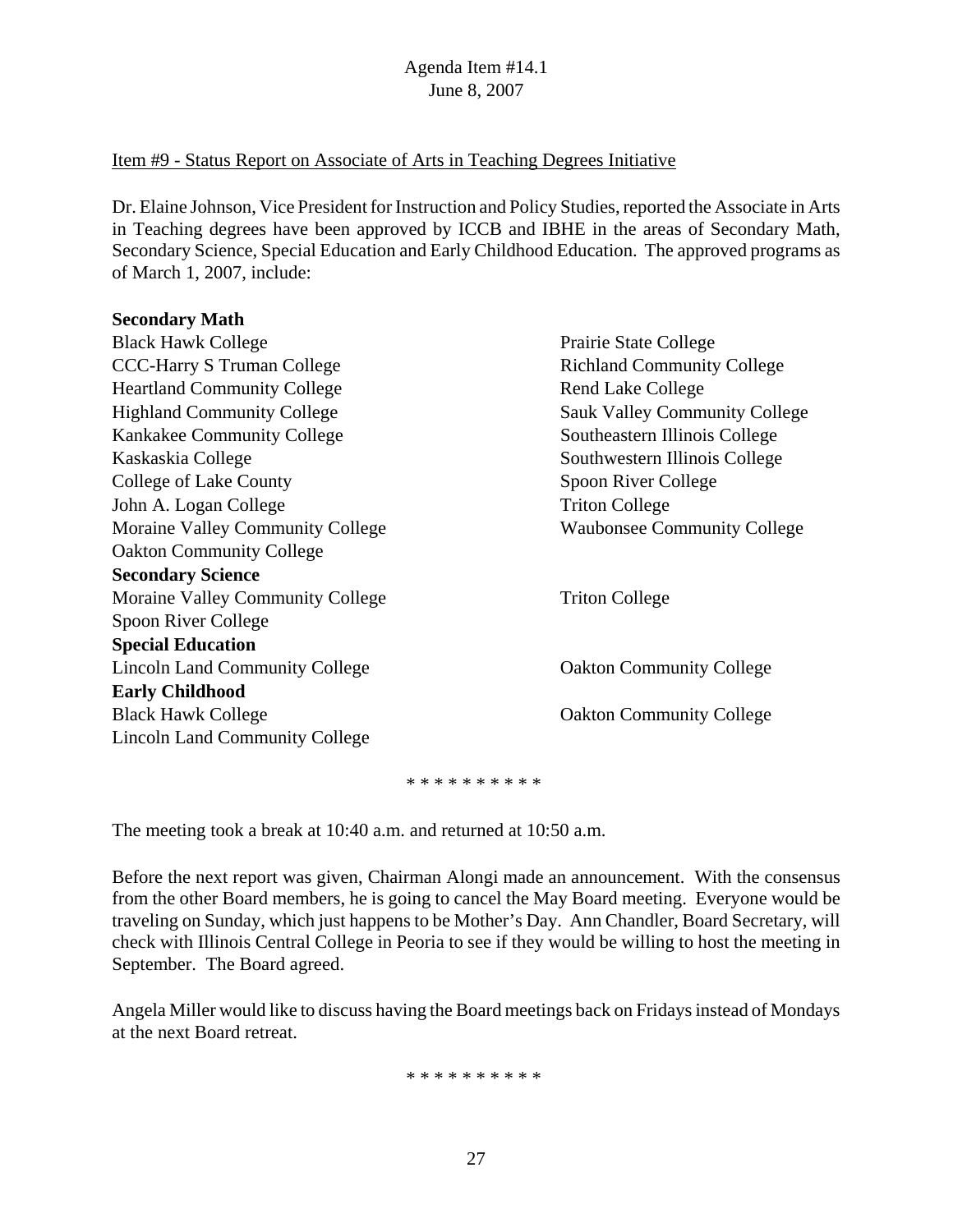# Item #9 - Status Report on Associate of Arts in Teaching Degrees Initiative

Dr. Elaine Johnson, Vice President for Instruction and Policy Studies, reported the Associate in Arts in Teaching degrees have been approved by ICCB and IBHE in the areas of Secondary Math, Secondary Science, Special Education and Early Childhood Education. The approved programs as of March 1, 2007, include:

### **Secondary Math**

| <b>Black Hawk College</b>             | Prairie State College                |  |  |  |
|---------------------------------------|--------------------------------------|--|--|--|
| <b>CCC-Harry S Truman College</b>     | <b>Richland Community College</b>    |  |  |  |
| <b>Heartland Community College</b>    | <b>Rend Lake College</b>             |  |  |  |
| <b>Highland Community College</b>     | <b>Sauk Valley Community College</b> |  |  |  |
| Kankakee Community College            | Southeastern Illinois College        |  |  |  |
| Kaskaskia College                     | Southwestern Illinois College        |  |  |  |
| College of Lake County                | Spoon River College                  |  |  |  |
| John A. Logan College                 | <b>Triton College</b>                |  |  |  |
| Moraine Valley Community College      | <b>Waubonsee Community College</b>   |  |  |  |
| <b>Oakton Community College</b>       |                                      |  |  |  |
| <b>Secondary Science</b>              |                                      |  |  |  |
| Moraine Valley Community College      | <b>Triton College</b>                |  |  |  |
| Spoon River College                   |                                      |  |  |  |
| <b>Special Education</b>              |                                      |  |  |  |
| <b>Lincoln Land Community College</b> | <b>Oakton Community College</b>      |  |  |  |
| <b>Early Childhood</b>                |                                      |  |  |  |
| <b>Black Hawk College</b>             | <b>Oakton Community College</b>      |  |  |  |
| <b>Lincoln Land Community College</b> |                                      |  |  |  |
|                                       |                                      |  |  |  |

\* \* \* \* \* \* \* \* \* \*

The meeting took a break at 10:40 a.m. and returned at 10:50 a.m.

Before the next report was given, Chairman Alongi made an announcement. With the consensus from the other Board members, he is going to cancel the May Board meeting. Everyone would be traveling on Sunday, which just happens to be Mother's Day. Ann Chandler, Board Secretary, will check with Illinois Central College in Peoria to see if they would be willing to host the meeting in September. The Board agreed.

Angela Miller would like to discuss having the Board meetings back on Fridays instead of Mondays at the next Board retreat.

\* \* \* \* \* \* \* \* \* \*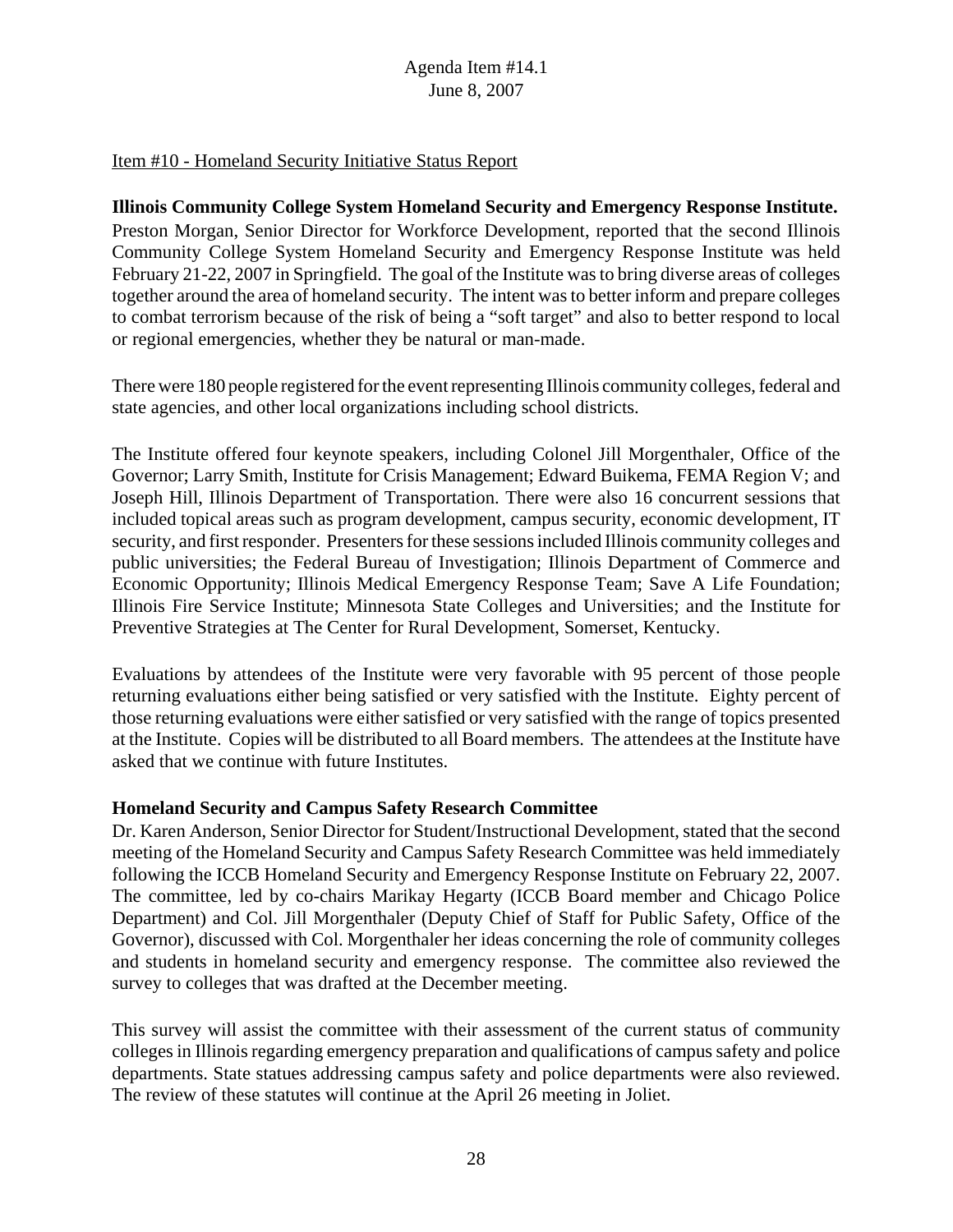# Item #10 - Homeland Security Initiative Status Report

**Illinois Community College System Homeland Security and Emergency Response Institute.** Preston Morgan, Senior Director for Workforce Development, reported that the second Illinois Community College System Homeland Security and Emergency Response Institute was held February 21-22, 2007 in Springfield. The goal of the Institute was to bring diverse areas of colleges together around the area of homeland security. The intent was to better inform and prepare colleges to combat terrorism because of the risk of being a "soft target" and also to better respond to local or regional emergencies, whether they be natural or man-made.

There were 180 people registered for the event representing Illinois community colleges, federal and state agencies, and other local organizations including school districts.

The Institute offered four keynote speakers, including Colonel Jill Morgenthaler, Office of the Governor; Larry Smith, Institute for Crisis Management; Edward Buikema, FEMA Region V; and Joseph Hill, Illinois Department of Transportation. There were also 16 concurrent sessions that included topical areas such as program development, campus security, economic development, IT security, and first responder. Presenters for these sessions included Illinois community colleges and public universities; the Federal Bureau of Investigation; Illinois Department of Commerce and Economic Opportunity; Illinois Medical Emergency Response Team; Save A Life Foundation; Illinois Fire Service Institute; Minnesota State Colleges and Universities; and the Institute for Preventive Strategies at The Center for Rural Development, Somerset, Kentucky.

Evaluations by attendees of the Institute were very favorable with 95 percent of those people returning evaluations either being satisfied or very satisfied with the Institute. Eighty percent of those returning evaluations were either satisfied or very satisfied with the range of topics presented at the Institute. Copies will be distributed to all Board members. The attendees at the Institute have asked that we continue with future Institutes.

### **Homeland Security and Campus Safety Research Committee**

Dr. Karen Anderson, Senior Director for Student/Instructional Development, stated that the second meeting of the Homeland Security and Campus Safety Research Committee was held immediately following the ICCB Homeland Security and Emergency Response Institute on February 22, 2007. The committee, led by co-chairs Marikay Hegarty (ICCB Board member and Chicago Police Department) and Col. Jill Morgenthaler (Deputy Chief of Staff for Public Safety, Office of the Governor), discussed with Col. Morgenthaler her ideas concerning the role of community colleges and students in homeland security and emergency response. The committee also reviewed the survey to colleges that was drafted at the December meeting.

This survey will assist the committee with their assessment of the current status of community colleges in Illinois regarding emergency preparation and qualifications of campus safety and police departments. State statues addressing campus safety and police departments were also reviewed. The review of these statutes will continue at the April 26 meeting in Joliet.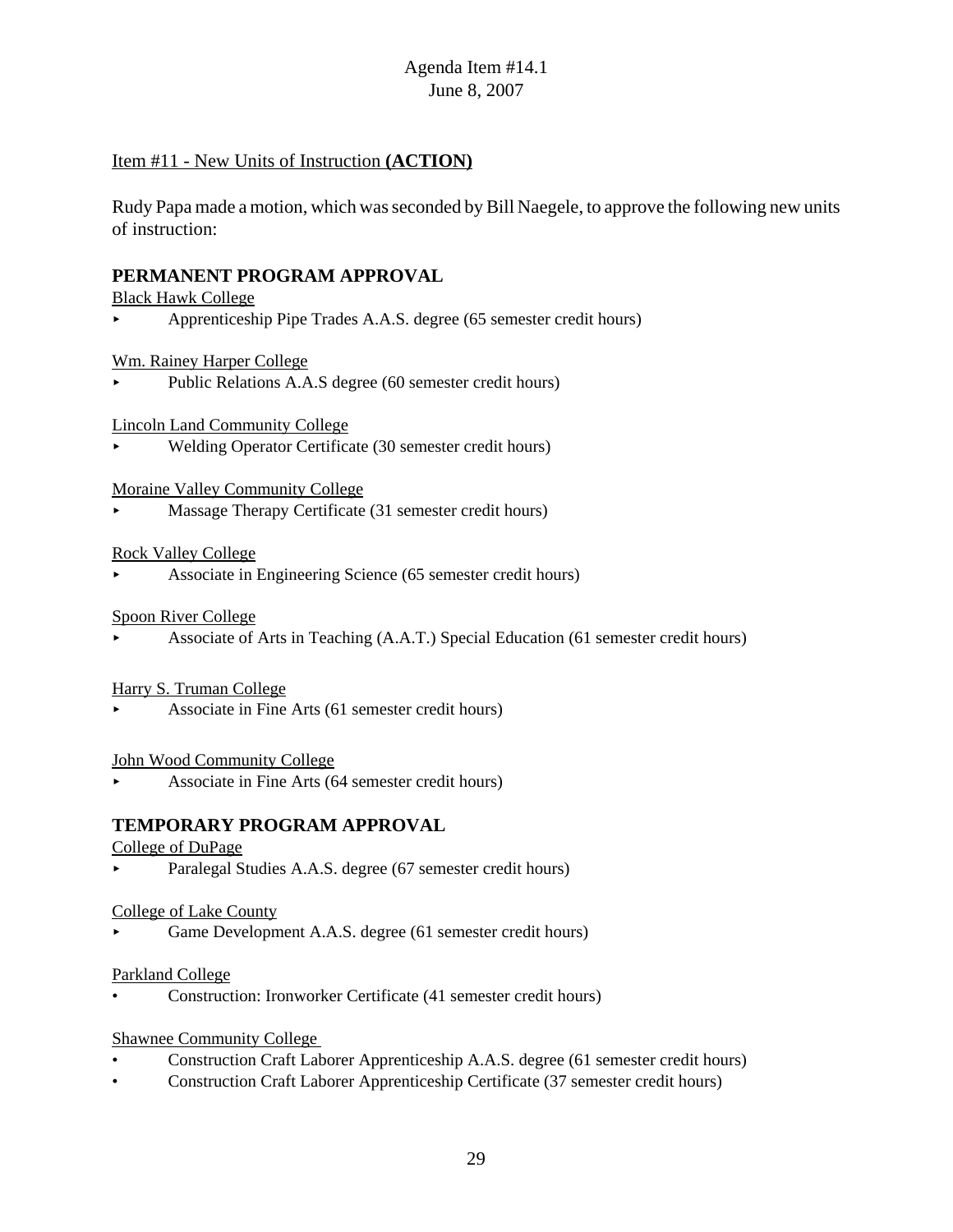### Item #11 - New Units of Instruction **(ACTION)**

Rudy Papa made a motion, which was seconded by Bill Naegele, to approve the following new units of instruction:

# **PERMANENT PROGRAM APPROVAL**

### Black Hawk College

< Apprenticeship Pipe Trades A.A.S. degree (65 semester credit hours)

### Wm. Rainey Harper College

Public Relations A.A.S degree (60 semester credit hours)

Lincoln Land Community College

< Welding Operator Certificate (30 semester credit hours)

### Moraine Valley Community College

< Massage Therapy Certificate (31 semester credit hours)

### Rock Valley College

< Associate in Engineering Science (65 semester credit hours)

### Spoon River College

< Associate of Arts in Teaching (A.A.T.) Special Education (61 semester credit hours)

### Harry S. Truman College

< Associate in Fine Arts (61 semester credit hours)

### John Wood Community College

< Associate in Fine Arts (64 semester credit hours)

# **TEMPORARY PROGRAM APPROVAL**

### College of DuPage

< Paralegal Studies A.A.S. degree (67 semester credit hours)

### College of Lake County

Game Development A.A.S. degree (61 semester credit hours)

### Parkland College

• Construction: Ironworker Certificate (41 semester credit hours)

### Shawnee Community College

- Construction Craft Laborer Apprenticeship A.A.S. degree (61 semester credit hours)
- Construction Craft Laborer Apprenticeship Certificate (37 semester credit hours)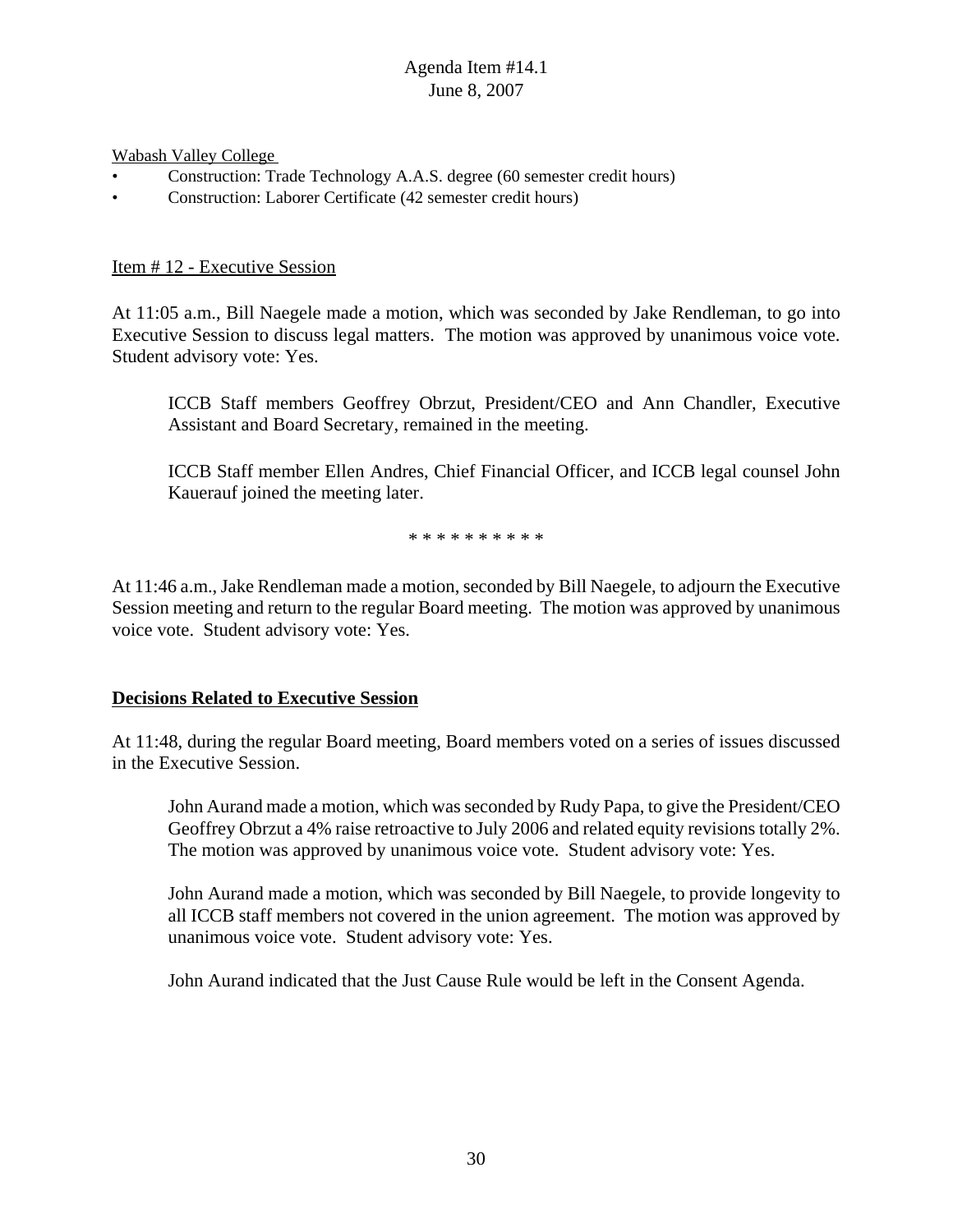Wabash Valley College

- Construction: Trade Technology A.A.S. degree (60 semester credit hours)
- Construction: Laborer Certificate (42 semester credit hours)

### Item # 12 - Executive Session

At 11:05 a.m., Bill Naegele made a motion, which was seconded by Jake Rendleman, to go into Executive Session to discuss legal matters. The motion was approved by unanimous voice vote. Student advisory vote: Yes.

ICCB Staff members Geoffrey Obrzut, President/CEO and Ann Chandler, Executive Assistant and Board Secretary, remained in the meeting.

ICCB Staff member Ellen Andres, Chief Financial Officer, and ICCB legal counsel John Kauerauf joined the meeting later.

\* \* \* \* \* \* \* \* \* \*

At 11:46 a.m., Jake Rendleman made a motion, seconded by Bill Naegele, to adjourn the Executive Session meeting and return to the regular Board meeting. The motion was approved by unanimous voice vote. Student advisory vote: Yes.

### **Decisions Related to Executive Session**

At 11:48, during the regular Board meeting, Board members voted on a series of issues discussed in the Executive Session.

John Aurand made a motion, which was seconded by Rudy Papa, to give the President/CEO Geoffrey Obrzut a 4% raise retroactive to July 2006 and related equity revisions totally 2%. The motion was approved by unanimous voice vote. Student advisory vote: Yes.

John Aurand made a motion, which was seconded by Bill Naegele, to provide longevity to all ICCB staff members not covered in the union agreement. The motion was approved by unanimous voice vote. Student advisory vote: Yes.

John Aurand indicated that the Just Cause Rule would be left in the Consent Agenda.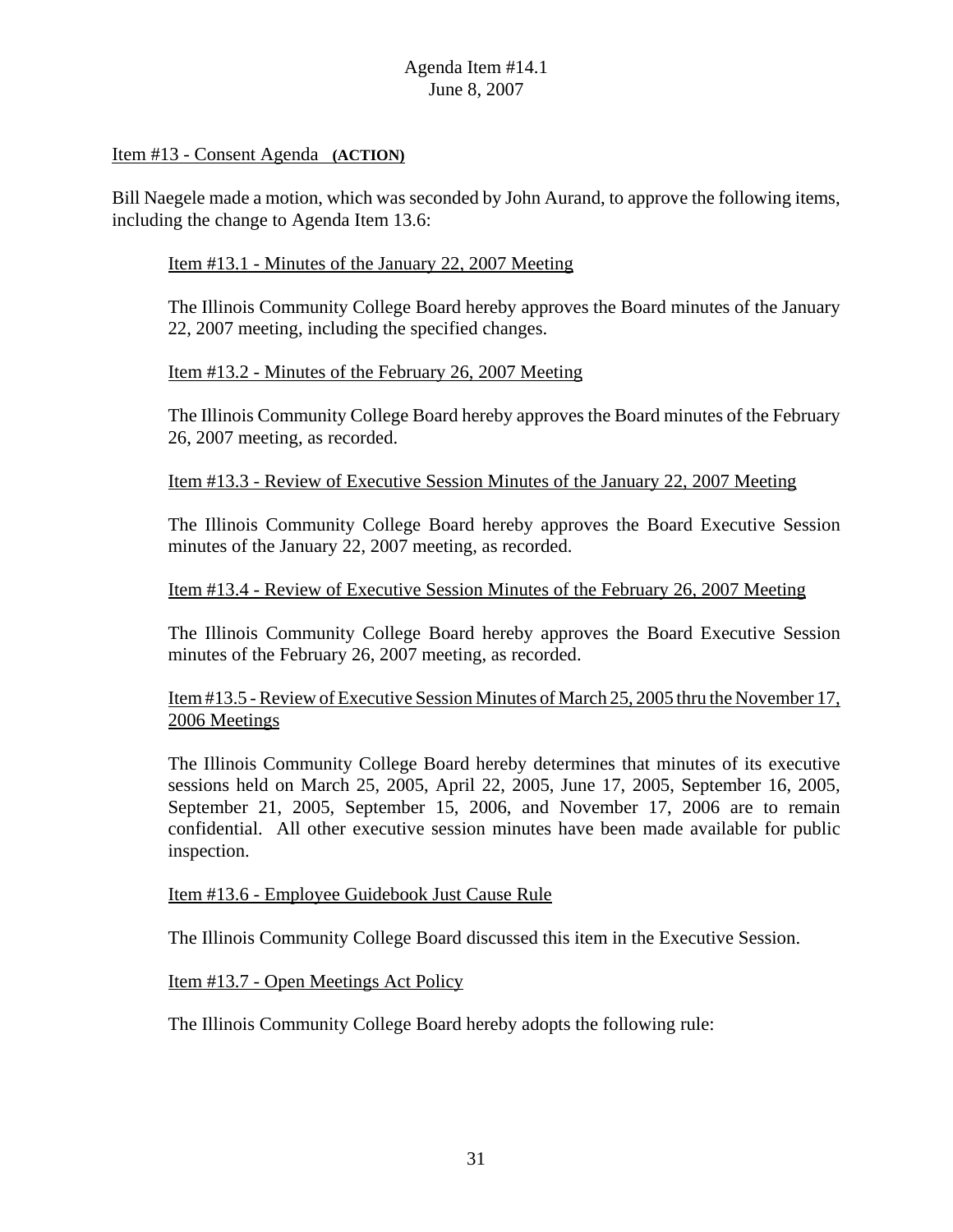### Item #13 - Consent Agenda **(ACTION)**

Bill Naegele made a motion, which was seconded by John Aurand, to approve the following items, including the change to Agenda Item 13.6:

### Item #13.1 - Minutes of the January 22, 2007 Meeting

The Illinois Community College Board hereby approves the Board minutes of the January 22, 2007 meeting, including the specified changes.

### Item #13.2 - Minutes of the February 26, 2007 Meeting

The Illinois Community College Board hereby approves the Board minutes of the February 26, 2007 meeting, as recorded.

### Item #13.3 - Review of Executive Session Minutes of the January 22, 2007 Meeting

The Illinois Community College Board hereby approves the Board Executive Session minutes of the January 22, 2007 meeting, as recorded.

### Item #13.4 - Review of Executive Session Minutes of the February 26, 2007 Meeting

The Illinois Community College Board hereby approves the Board Executive Session minutes of the February 26, 2007 meeting, as recorded.

# Item #13.5 - Review of Executive Session Minutes of March 25, 2005 thru the November 17, 2006 Meetings

The Illinois Community College Board hereby determines that minutes of its executive sessions held on March 25, 2005, April 22, 2005, June 17, 2005, September 16, 2005, September 21, 2005, September 15, 2006, and November 17, 2006 are to remain confidential. All other executive session minutes have been made available for public inspection.

### Item #13.6 - Employee Guidebook Just Cause Rule

The Illinois Community College Board discussed this item in the Executive Session.

### Item #13.7 - Open Meetings Act Policy

The Illinois Community College Board hereby adopts the following rule: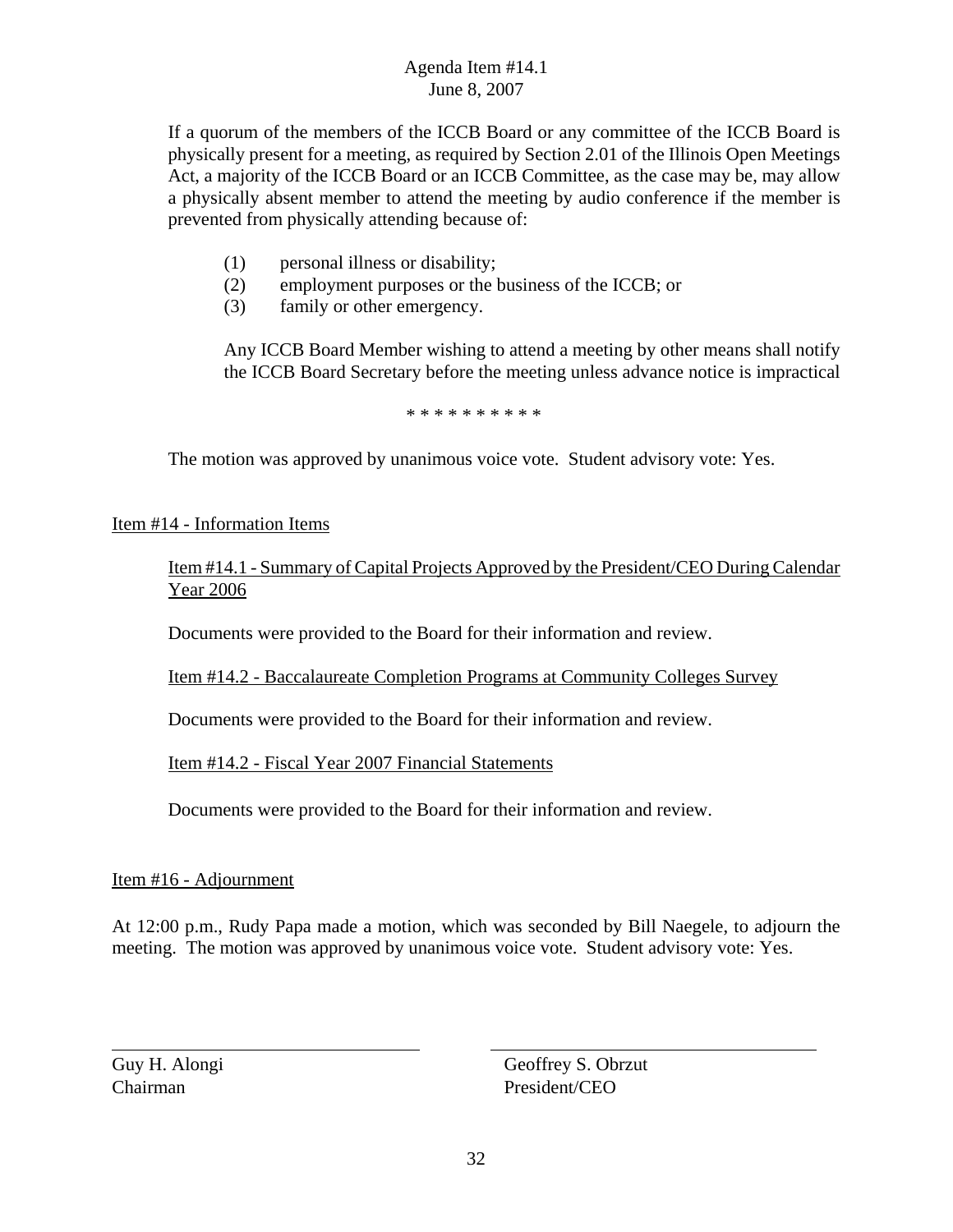If a quorum of the members of the ICCB Board or any committee of the ICCB Board is physically present for a meeting, as required by Section 2.01 of the Illinois Open Meetings Act, a majority of the ICCB Board or an ICCB Committee, as the case may be, may allow a physically absent member to attend the meeting by audio conference if the member is prevented from physically attending because of:

- (1) personal illness or disability;
- (2) employment purposes or the business of the ICCB; or
- (3) family or other emergency.

Any ICCB Board Member wishing to attend a meeting by other means shall notify the ICCB Board Secretary before the meeting unless advance notice is impractical

\* \* \* \* \* \* \* \* \*

The motion was approved by unanimous voice vote. Student advisory vote: Yes.

Item #14 - Information Items

Item #14.1 - Summary of Capital Projects Approved by the President/CEO During Calendar Year 2006

Documents were provided to the Board for their information and review.

Item #14.2 - Baccalaureate Completion Programs at Community Colleges Survey

Documents were provided to the Board for their information and review.

Item #14.2 - Fiscal Year 2007 Financial Statements

Documents were provided to the Board for their information and review.

### Item #16 - Adjournment

At 12:00 p.m., Rudy Papa made a motion, which was seconded by Bill Naegele, to adjourn the meeting. The motion was approved by unanimous voice vote. Student advisory vote: Yes.

Guy H. Alongi Geoffrey S. Obrzut Chairman President/CEO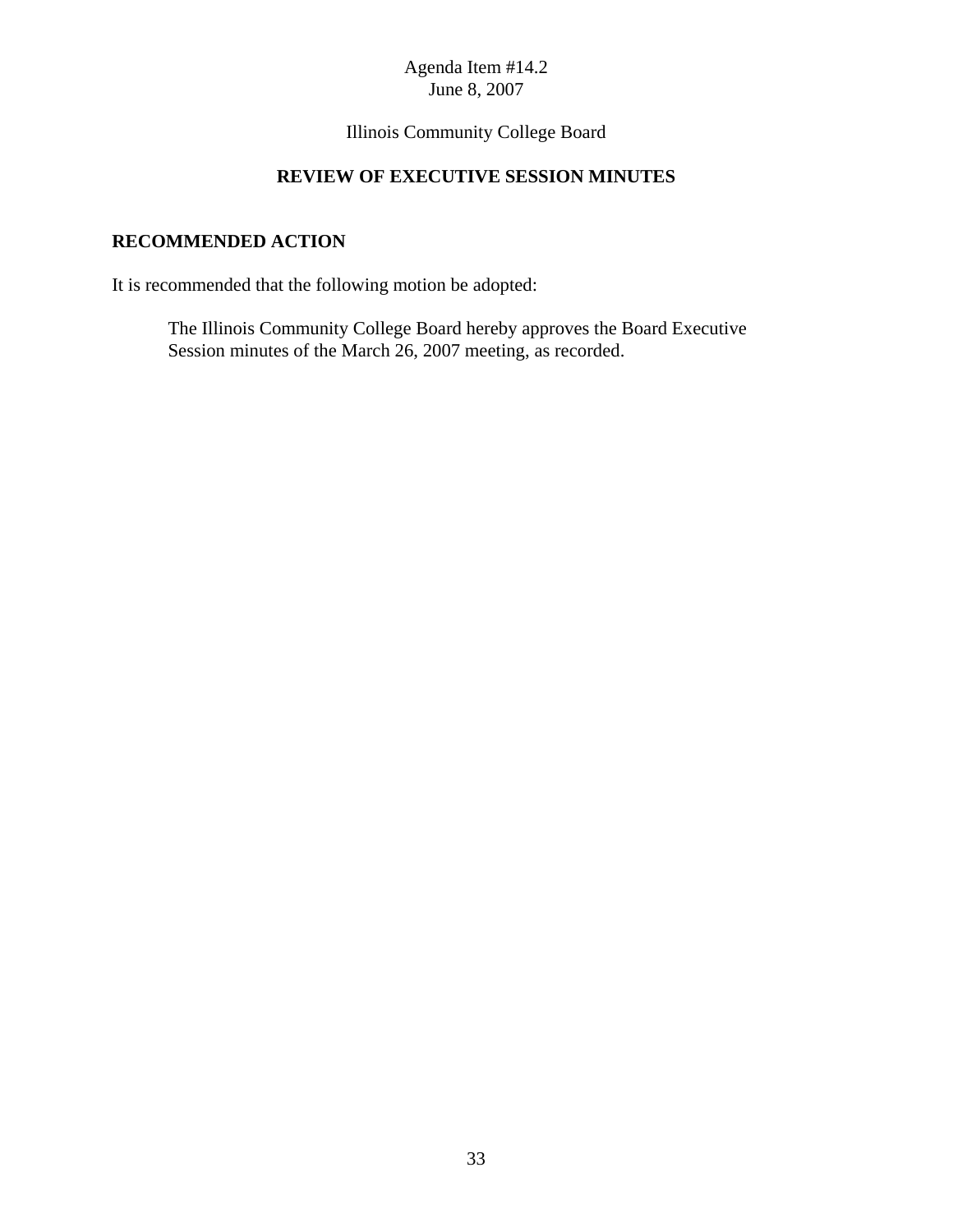Illinois Community College Board

# **REVIEW OF EXECUTIVE SESSION MINUTES**

# **RECOMMENDED ACTION**

It is recommended that the following motion be adopted:

The Illinois Community College Board hereby approves the Board Executive Session minutes of the March 26, 2007 meeting, as recorded.